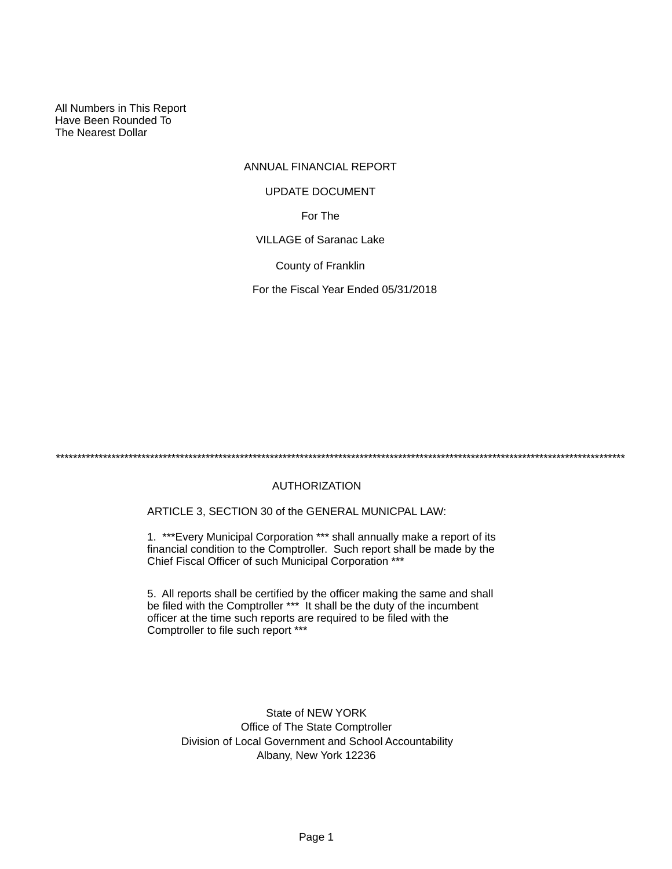All Numbers in This Report Have Been Rounded To The Nearest Dollar

## ANNUAL FINANCIAL REPORT

#### UPDATE DOCUMENT

For The

VILLAGE of Saranac Lake

County of Franklin

For the Fiscal Year Ended 05/31/2018

\*\*\*\*\*\*\*\*\*\*\*\*\*\*\*\*\*\*\*\*\*\*\*\*\*\*\*\*\*\*\*\*\*\*\*\*\*\*\*\*\*\*\*\*\*\*\*\*\*\*\*\*\*\*\*\*\*\*\*\*\*\*\*\*\*\*\*\*\*\*\*\*\*\*\*\*\*\*\*\*\*\*\*\*\*\*\*\*\*\*\*\*\*\*\*\*\*\*\*\*\*\*\*\*\*\*\*\*\*\*\*\*\*\*\*\*\*\*\*\*\*\*\*\*\*\*\*\*\*\*\*\*\*

## AUTHORIZATION

ARTICLE 3, SECTION 30 of the GENERAL MUNICPAL LAW:

1. \*\*\*Every Municipal Corporation \*\*\* shall annually make a report of its financial condition to the Comptroller. Such report shall be made by the Chief Fiscal Officer of such Municipal Corporation \*\*\*

5. All reports shall be certified by the officer making the same and shall be filed with the Comptroller \*\*\* It shall be the duty of the incumbent officer at the time such reports are required to be filed with the Comptroller to file such report \*\*\*

State of NEW YORK Office of The State Comptroller Division of Local Government and School Accountability Albany, New York 12236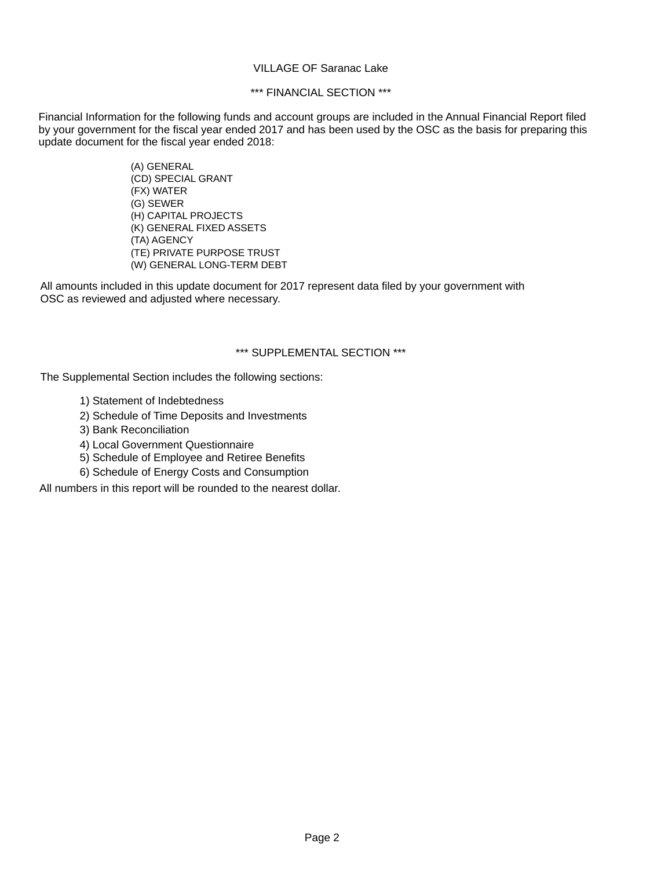### VILLAGE OF Saranac Lake

## \*\*\* FINANCIAL SECTION \*\*\*

Financial Information for the following funds and account groups are included in the Annual Financial Report filed by your government for the fiscal year ended 2017 and has been used by the OSC as the basis for preparing this update document for the fiscal year ended 2018:

> (A) GENERAL (CD) SPECIAL GRANT (FX) WATER (G) SEWER (H) CAPITAL PROJECTS (K) GENERAL FIXED ASSETS (TA) AGENCY (TE) PRIVATE PURPOSE TRUST (W) GENERAL LONG-TERM DEBT

All amounts included in this update document for 2017 represent data filed by your government with OSC as reviewed and adjusted where necessary.

### \*\*\* SUPPLEMENTAL SECTION \*\*\*

The Supplemental Section includes the following sections:

- 1) Statement of Indebtedness
- 2) Schedule of Time Deposits and Investments
- 3) Bank Reconciliation
- 4) Local Government Questionnaire
- 5) Schedule of Employee and Retiree Benefits
- 6) Schedule of Energy Costs and Consumption

All numbers in this report will be rounded to the nearest dollar.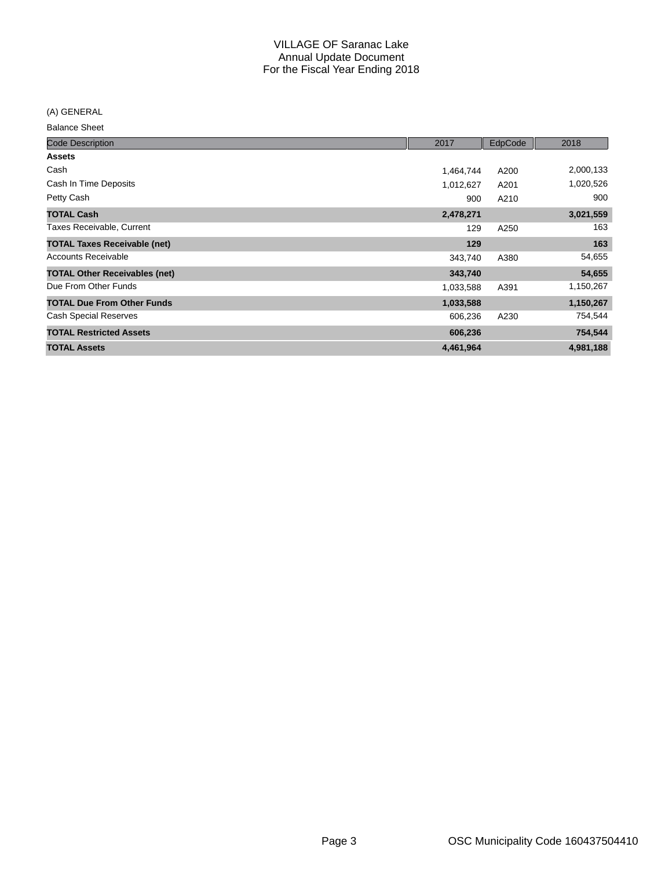(A) GENERAL

Balance Sheet

| <b>Code Description</b>              | 2017      | EdpCode | 2018      |
|--------------------------------------|-----------|---------|-----------|
| <b>Assets</b>                        |           |         |           |
| Cash                                 | 1,464,744 | A200    | 2,000,133 |
| Cash In Time Deposits                | 1,012,627 | A201    | 1,020,526 |
| Petty Cash                           | 900       | A210    | 900       |
| <b>TOTAL Cash</b>                    | 2,478,271 |         | 3,021,559 |
| Taxes Receivable, Current            | 129       | A250    | 163       |
| <b>TOTAL Taxes Receivable (net)</b>  | 129       |         | 163       |
| <b>Accounts Receivable</b>           | 343,740   | A380    | 54,655    |
| <b>TOTAL Other Receivables (net)</b> | 343,740   |         | 54,655    |
| Due From Other Funds                 | 1,033,588 | A391    | 1,150,267 |
| <b>TOTAL Due From Other Funds</b>    | 1,033,588 |         | 1,150,267 |
| <b>Cash Special Reserves</b>         | 606,236   | A230    | 754,544   |
| <b>TOTAL Restricted Assets</b>       | 606,236   |         | 754,544   |
| <b>TOTAL Assets</b>                  | 4,461,964 |         | 4,981,188 |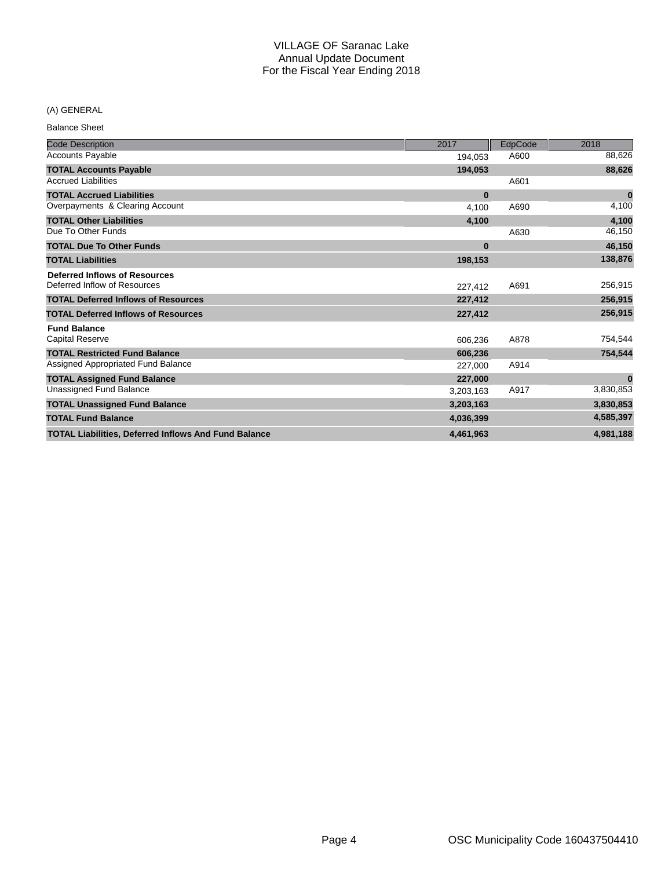## (A) GENERAL

Balance Sheet

| <b>Code Description</b>                                     | 2017      | EdpCode | 2018      |
|-------------------------------------------------------------|-----------|---------|-----------|
| <b>Accounts Payable</b>                                     | 194,053   | A600    | 88,626    |
| <b>TOTAL Accounts Payable</b>                               | 194,053   |         | 88,626    |
| <b>Accrued Liabilities</b>                                  |           | A601    |           |
| <b>TOTAL Accrued Liabilities</b>                            | $\bf{0}$  |         | $\bf{0}$  |
| Overpayments & Clearing Account                             | 4,100     | A690    | 4,100     |
| <b>TOTAL Other Liabilities</b>                              | 4,100     |         | 4,100     |
| Due To Other Funds                                          |           | A630    | 46,150    |
| <b>TOTAL Due To Other Funds</b>                             | $\bf{0}$  |         | 46,150    |
| <b>TOTAL Liabilities</b>                                    | 198,153   |         | 138,876   |
| <b>Deferred Inflows of Resources</b>                        |           |         |           |
| Deferred Inflow of Resources                                | 227.412   | A691    | 256,915   |
| <b>TOTAL Deferred Inflows of Resources</b>                  | 227,412   |         | 256,915   |
| <b>TOTAL Deferred Inflows of Resources</b>                  | 227,412   |         | 256,915   |
| <b>Fund Balance</b>                                         |           |         |           |
| <b>Capital Reserve</b>                                      | 606.236   | A878    | 754,544   |
| <b>TOTAL Restricted Fund Balance</b>                        | 606,236   |         | 754,544   |
| Assigned Appropriated Fund Balance                          | 227,000   | A914    |           |
| <b>TOTAL Assigned Fund Balance</b>                          | 227,000   |         | $\bf{0}$  |
| Unassigned Fund Balance                                     | 3,203,163 | A917    | 3,830,853 |
| <b>TOTAL Unassigned Fund Balance</b>                        | 3,203,163 |         | 3,830,853 |
| <b>TOTAL Fund Balance</b>                                   | 4,036,399 |         | 4,585,397 |
| <b>TOTAL Liabilities, Deferred Inflows And Fund Balance</b> | 4.461.963 |         | 4,981,188 |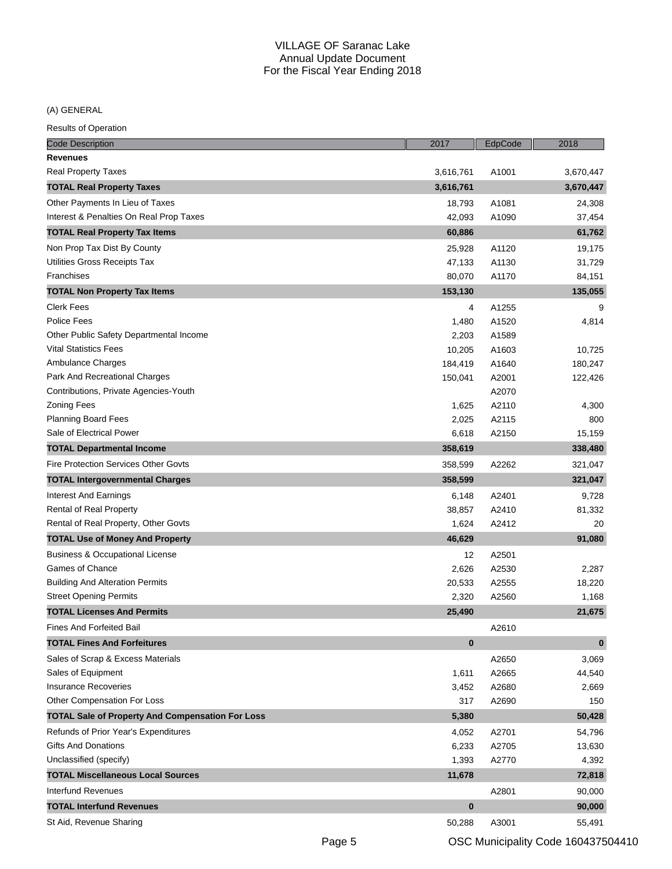(A) GENERAL

| <b>Code Description</b>                                 | 2017      | EdpCode | 2018      |
|---------------------------------------------------------|-----------|---------|-----------|
| <b>Revenues</b>                                         |           |         |           |
| Real Property Taxes                                     | 3,616,761 | A1001   | 3,670,447 |
| <b>TOTAL Real Property Taxes</b>                        | 3,616,761 |         | 3,670,447 |
| Other Payments In Lieu of Taxes                         | 18,793    | A1081   | 24,308    |
| Interest & Penalties On Real Prop Taxes                 | 42,093    | A1090   | 37,454    |
| <b>TOTAL Real Property Tax Items</b>                    | 60,886    |         | 61,762    |
| Non Prop Tax Dist By County                             | 25,928    | A1120   | 19,175    |
| Utilities Gross Receipts Tax                            | 47,133    | A1130   | 31,729    |
| Franchises                                              | 80,070    | A1170   | 84,151    |
| <b>TOTAL Non Property Tax Items</b>                     | 153,130   |         | 135,055   |
| <b>Clerk Fees</b>                                       | 4         | A1255   | 9         |
| Police Fees                                             | 1,480     | A1520   | 4,814     |
| Other Public Safety Departmental Income                 | 2,203     | A1589   |           |
| <b>Vital Statistics Fees</b>                            | 10,205    | A1603   | 10,725    |
| Ambulance Charges                                       | 184,419   | A1640   | 180,247   |
| Park And Recreational Charges                           | 150,041   | A2001   | 122,426   |
| Contributions, Private Agencies-Youth                   |           | A2070   |           |
| <b>Zoning Fees</b>                                      | 1,625     | A2110   | 4,300     |
| <b>Planning Board Fees</b>                              | 2,025     | A2115   | 800       |
| Sale of Electrical Power                                | 6,618     | A2150   | 15,159    |
| <b>TOTAL Departmental Income</b>                        | 358,619   |         | 338,480   |
| <b>Fire Protection Services Other Govts</b>             | 358,599   | A2262   | 321,047   |
| <b>TOTAL Intergovernmental Charges</b>                  | 358,599   |         | 321,047   |
| Interest And Earnings                                   | 6,148     | A2401   | 9,728     |
| Rental of Real Property                                 | 38,857    | A2410   | 81,332    |
| Rental of Real Property, Other Govts                    | 1,624     | A2412   | 20        |
| <b>TOTAL Use of Money And Property</b>                  | 46,629    |         | 91,080    |
| <b>Business &amp; Occupational License</b>              | 12        | A2501   |           |
| Games of Chance                                         | 2,626     | A2530   | 2,287     |
| <b>Building And Alteration Permits</b>                  | 20,533    | A2555   | 18,220    |
| <b>Street Opening Permits</b>                           | 2,320     | A2560   | 1,168     |
| <b>TOTAL Licenses And Permits</b>                       | 25,490    |         | 21,675    |
| <b>Fines And Forfeited Bail</b>                         |           | A2610   |           |
| <b>TOTAL Fines And Forfeitures</b>                      | $\bf{0}$  |         | 0         |
| Sales of Scrap & Excess Materials                       |           | A2650   | 3,069     |
| Sales of Equipment                                      | 1,611     | A2665   | 44,540    |
| <b>Insurance Recoveries</b>                             | 3,452     | A2680   | 2,669     |
| Other Compensation For Loss                             | 317       | A2690   | 150       |
| <b>TOTAL Sale of Property And Compensation For Loss</b> | 5,380     |         | 50,428    |
| Refunds of Prior Year's Expenditures                    | 4,052     | A2701   | 54,796    |
| <b>Gifts And Donations</b>                              | 6,233     | A2705   | 13,630    |
| Unclassified (specify)                                  | 1,393     | A2770   | 4,392     |
| <b>TOTAL Miscellaneous Local Sources</b>                | 11,678    |         | 72,818    |
| Interfund Revenues                                      |           | A2801   | 90,000    |
| <b>TOTAL Interfund Revenues</b>                         | $\bf{0}$  |         | 90,000    |
| St Aid, Revenue Sharing                                 | 50,288    | A3001   | 55,491    |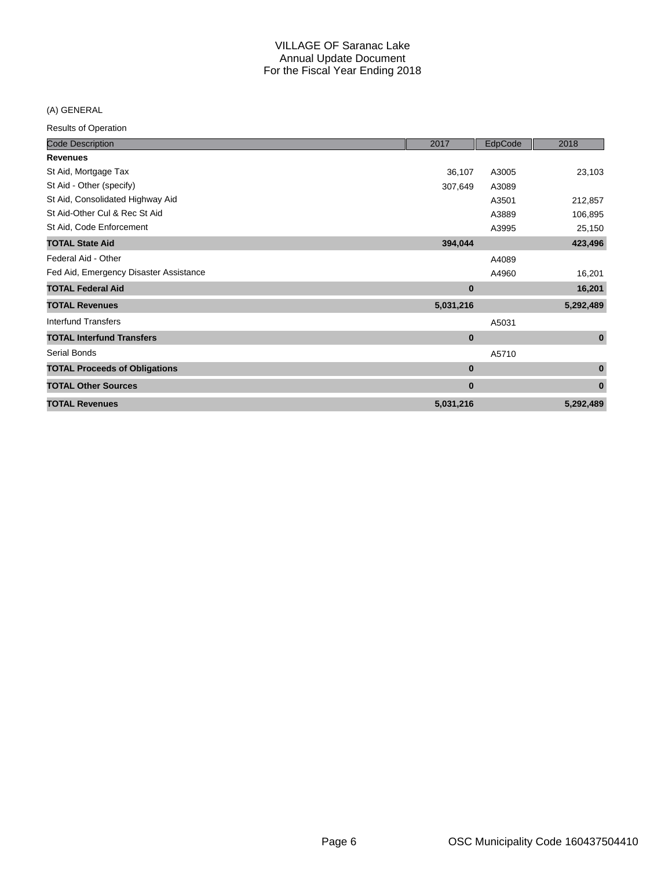(A) GENERAL

| <b>Code Description</b>                | 2017      | EdpCode | 2018      |
|----------------------------------------|-----------|---------|-----------|
| <b>Revenues</b>                        |           |         |           |
| St Aid, Mortgage Tax                   | 36,107    | A3005   | 23,103    |
| St Aid - Other (specify)               | 307,649   | A3089   |           |
| St Aid, Consolidated Highway Aid       |           | A3501   | 212,857   |
| St Aid-Other Cul & Rec St Aid          |           | A3889   | 106,895   |
| St Aid, Code Enforcement               |           | A3995   | 25,150    |
| <b>TOTAL State Aid</b>                 | 394,044   |         | 423,496   |
| Federal Aid - Other                    |           | A4089   |           |
| Fed Aid, Emergency Disaster Assistance |           | A4960   | 16,201    |
| <b>TOTAL Federal Aid</b>               | $\bf{0}$  |         | 16,201    |
| <b>TOTAL Revenues</b>                  | 5,031,216 |         | 5,292,489 |
| Interfund Transfers                    |           | A5031   |           |
| <b>TOTAL Interfund Transfers</b>       | $\bf{0}$  |         | $\bf{0}$  |
| Serial Bonds                           |           | A5710   |           |
| <b>TOTAL Proceeds of Obligations</b>   | $\bf{0}$  |         | $\bf{0}$  |
| <b>TOTAL Other Sources</b>             | $\bf{0}$  |         | $\bf{0}$  |
| <b>TOTAL Revenues</b>                  | 5,031,216 |         | 5,292,489 |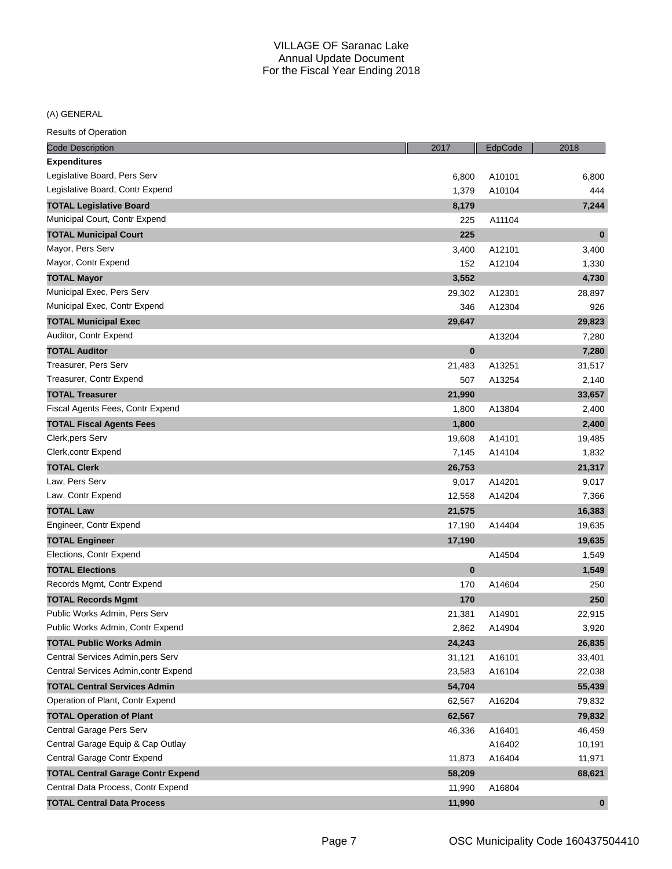## (A) GENERAL

| <b>Code Description</b>                  | 2017     | EdpCode | 2018      |
|------------------------------------------|----------|---------|-----------|
| <b>Expenditures</b>                      |          |         |           |
| Legislative Board, Pers Serv             | 6,800    | A10101  | 6,800     |
| Legislative Board, Contr Expend          | 1,379    | A10104  | 444       |
| <b>TOTAL Legislative Board</b>           | 8,179    |         | 7,244     |
| Municipal Court, Contr Expend            | 225      | A11104  |           |
| <b>TOTAL Municipal Court</b>             | 225      |         | $\bf{0}$  |
| Mayor, Pers Serv                         | 3,400    | A12101  | 3,400     |
| Mayor, Contr Expend                      | 152      | A12104  | 1,330     |
| <b>TOTAL Mayor</b>                       | 3,552    |         | 4,730     |
| Municipal Exec, Pers Serv                | 29,302   | A12301  | 28,897    |
| Municipal Exec, Contr Expend             | 346      | A12304  | 926       |
| <b>TOTAL Municipal Exec</b>              | 29,647   |         | 29,823    |
| Auditor, Contr Expend                    |          | A13204  | 7,280     |
| <b>TOTAL Auditor</b>                     | $\bf{0}$ |         | 7,280     |
| Treasurer, Pers Serv                     | 21,483   | A13251  | 31,517    |
| Treasurer, Contr Expend                  | 507      | A13254  | 2,140     |
| <b>TOTAL Treasurer</b>                   | 21,990   |         | 33,657    |
| Fiscal Agents Fees, Contr Expend         | 1,800    | A13804  | 2,400     |
| <b>TOTAL Fiscal Agents Fees</b>          | 1,800    |         | 2,400     |
| Clerk, pers Serv                         | 19,608   | A14101  | 19,485    |
| Clerk, contr Expend                      | 7,145    | A14104  | 1,832     |
| <b>TOTAL Clerk</b>                       | 26,753   |         | 21,317    |
| Law, Pers Serv                           | 9,017    | A14201  | 9,017     |
| Law, Contr Expend                        | 12,558   | A14204  | 7,366     |
| <b>TOTAL Law</b>                         | 21,575   |         | 16,383    |
| Engineer, Contr Expend                   | 17,190   | A14404  | 19,635    |
| <b>TOTAL Engineer</b>                    | 17,190   |         | 19,635    |
| Elections, Contr Expend                  |          | A14504  | 1,549     |
| <b>TOTAL Elections</b>                   | $\bf{0}$ |         | 1,549     |
| Records Mgmt, Contr Expend               | 170      | A14604  | 250       |
| <b>TOTAL Records Mgmt</b>                | 170      |         | 250       |
| Public Works Admin, Pers Serv            | 21,381   | A14901  | 22,915    |
| Public Works Admin, Contr Expend         | 2,862    | A14904  | 3,920     |
| <b>TOTAL Public Works Admin</b>          | 24,243   |         | 26,835    |
| Central Services Admin, pers Serv        | 31,121   | A16101  | 33,401    |
| Central Services Admin, contr Expend     | 23,583   | A16104  | 22,038    |
| <b>TOTAL Central Services Admin</b>      | 54,704   |         | 55,439    |
| Operation of Plant, Contr Expend         | 62,567   | A16204  | 79,832    |
| <b>TOTAL Operation of Plant</b>          | 62,567   |         | 79,832    |
| Central Garage Pers Serv                 | 46,336   | A16401  | 46,459    |
| Central Garage Equip & Cap Outlay        |          | A16402  | 10,191    |
| Central Garage Contr Expend              | 11,873   | A16404  | 11,971    |
| <b>TOTAL Central Garage Contr Expend</b> | 58,209   |         | 68,621    |
| Central Data Process, Contr Expend       | 11,990   | A16804  |           |
| <b>TOTAL Central Data Process</b>        | 11,990   |         | $\pmb{0}$ |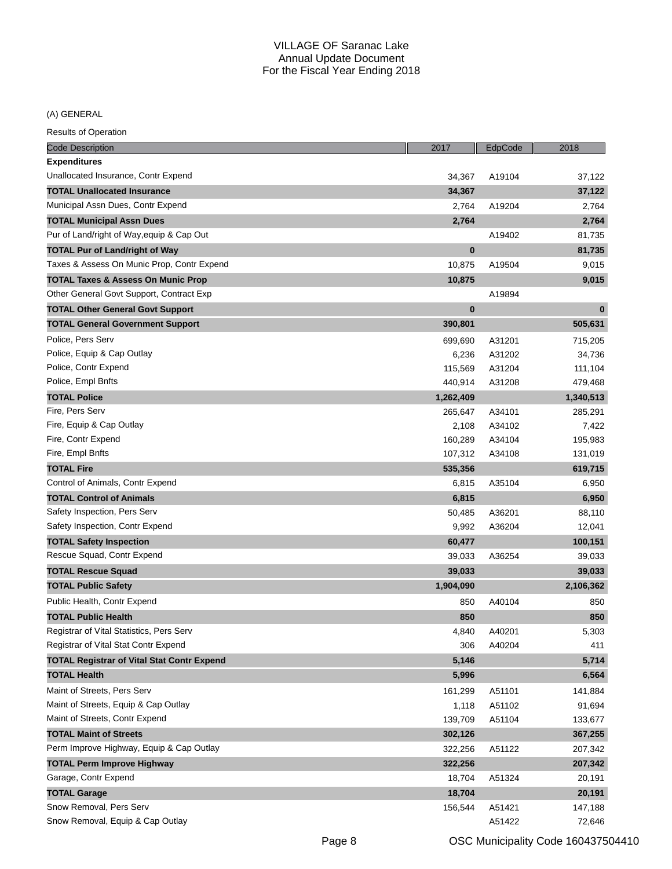(A) GENERAL

| <b>Code Description</b>                           | 2017      | EdpCode | 2018      |
|---------------------------------------------------|-----------|---------|-----------|
| <b>Expenditures</b>                               |           |         |           |
| Unallocated Insurance, Contr Expend               | 34,367    | A19104  | 37,122    |
| <b>TOTAL Unallocated Insurance</b>                | 34,367    |         | 37,122    |
| Municipal Assn Dues, Contr Expend                 | 2,764     | A19204  | 2,764     |
| <b>TOTAL Municipal Assn Dues</b>                  | 2,764     |         | 2,764     |
| Pur of Land/right of Way, equip & Cap Out         |           | A19402  | 81,735    |
| <b>TOTAL Pur of Land/right of Way</b>             | $\bf{0}$  |         | 81,735    |
| Taxes & Assess On Munic Prop, Contr Expend        | 10,875    | A19504  | 9,015     |
| <b>TOTAL Taxes &amp; Assess On Munic Prop</b>     | 10,875    |         | 9,015     |
| Other General Govt Support, Contract Exp          |           | A19894  |           |
| <b>TOTAL Other General Govt Support</b>           | $\bf{0}$  |         | $\bf{0}$  |
| <b>TOTAL General Government Support</b>           | 390,801   |         | 505,631   |
| Police, Pers Serv                                 | 699,690   | A31201  | 715,205   |
| Police, Equip & Cap Outlay                        | 6,236     | A31202  | 34,736    |
| Police, Contr Expend                              | 115,569   | A31204  | 111,104   |
| Police, Empl Bnfts                                | 440,914   | A31208  | 479,468   |
| <b>TOTAL Police</b>                               | 1,262,409 |         | 1,340,513 |
| Fire, Pers Serv                                   | 265,647   | A34101  | 285,291   |
| Fire, Equip & Cap Outlay                          | 2,108     | A34102  | 7,422     |
| Fire, Contr Expend                                | 160,289   | A34104  | 195,983   |
| Fire, Empl Bnfts                                  | 107,312   | A34108  | 131,019   |
| <b>TOTAL Fire</b>                                 | 535,356   |         | 619,715   |
| Control of Animals, Contr Expend                  | 6,815     | A35104  | 6,950     |
| <b>TOTAL Control of Animals</b>                   | 6,815     |         | 6,950     |
| Safety Inspection, Pers Serv                      | 50,485    | A36201  | 88,110    |
| Safety Inspection, Contr Expend                   | 9,992     | A36204  | 12,041    |
| <b>TOTAL Safety Inspection</b>                    | 60,477    |         | 100,151   |
| Rescue Squad, Contr Expend                        | 39,033    | A36254  | 39,033    |
| <b>TOTAL Rescue Squad</b>                         | 39,033    |         | 39,033    |
| <b>TOTAL Public Safety</b>                        | 1,904,090 |         | 2,106,362 |
| Public Health, Contr Expend                       | 850       | A40104  | 850       |
| <b>TOTAL Public Health</b>                        | 850       |         | 850       |
| Registrar of Vital Statistics, Pers Serv          | 4,840     | A40201  | 5,303     |
| Registrar of Vital Stat Contr Expend              | 306       | A40204  | 411       |
| <b>TOTAL Registrar of Vital Stat Contr Expend</b> | 5,146     |         | 5,714     |
| <b>TOTAL Health</b>                               | 5,996     |         | 6,564     |
| Maint of Streets, Pers Serv                       | 161,299   | A51101  | 141,884   |
| Maint of Streets, Equip & Cap Outlay              | 1,118     | A51102  | 91,694    |
| Maint of Streets, Contr Expend                    | 139,709   | A51104  | 133,677   |
| <b>TOTAL Maint of Streets</b>                     | 302,126   |         | 367,255   |
| Perm Improve Highway, Equip & Cap Outlay          | 322,256   | A51122  | 207,342   |
| <b>TOTAL Perm Improve Highway</b>                 | 322,256   |         | 207,342   |
| Garage, Contr Expend                              | 18,704    | A51324  | 20,191    |
| <b>TOTAL Garage</b>                               | 18,704    |         | 20,191    |
| Snow Removal, Pers Serv                           | 156,544   | A51421  | 147,188   |
| Snow Removal, Equip & Cap Outlay                  |           | A51422  | 72,646    |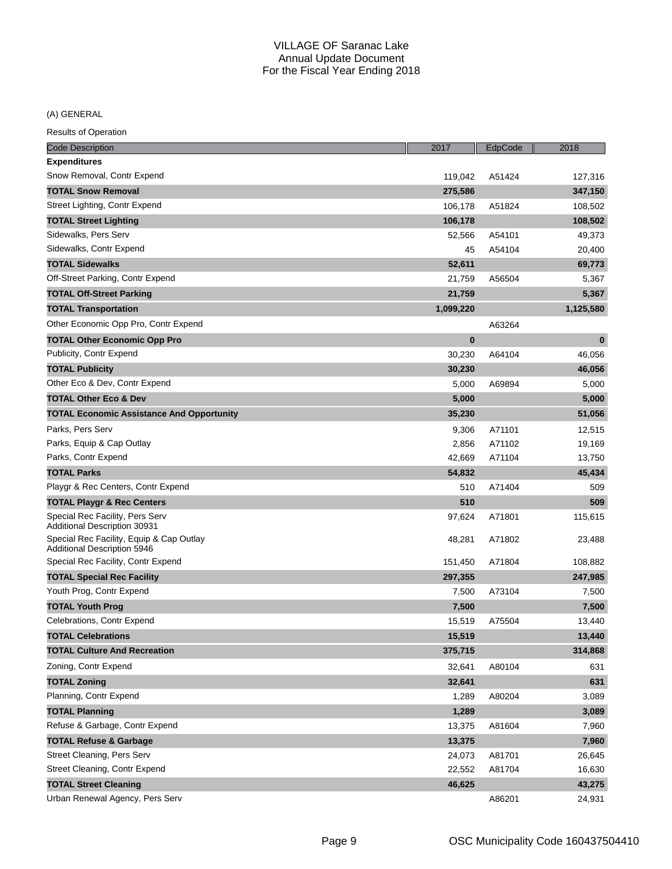(A) GENERAL

| Code Description                                                               | 2017      | EdpCode | 2018      |
|--------------------------------------------------------------------------------|-----------|---------|-----------|
| <b>Expenditures</b>                                                            |           |         |           |
| Snow Removal, Contr Expend                                                     | 119,042   | A51424  | 127,316   |
| <b>TOTAL Snow Removal</b>                                                      | 275,586   |         | 347,150   |
| Street Lighting, Contr Expend                                                  | 106,178   | A51824  | 108,502   |
| <b>TOTAL Street Lighting</b>                                                   | 106,178   |         | 108,502   |
| Sidewalks, Pers Serv                                                           | 52,566    | A54101  | 49,373    |
| Sidewalks, Contr Expend                                                        | 45        | A54104  | 20,400    |
| <b>TOTAL Sidewalks</b>                                                         | 52,611    |         | 69,773    |
| Off-Street Parking, Contr Expend                                               | 21,759    | A56504  | 5,367     |
| <b>TOTAL Off-Street Parking</b>                                                | 21,759    |         | 5,367     |
| <b>TOTAL Transportation</b>                                                    | 1,099,220 |         | 1,125,580 |
| Other Economic Opp Pro, Contr Expend                                           |           | A63264  |           |
| <b>TOTAL Other Economic Opp Pro</b>                                            | $\bf{0}$  |         | $\bf{0}$  |
| Publicity, Contr Expend                                                        | 30,230    | A64104  | 46,056    |
| <b>TOTAL Publicity</b>                                                         | 30,230    |         | 46,056    |
| Other Eco & Dev, Contr Expend                                                  | 5,000     | A69894  | 5,000     |
| <b>TOTAL Other Eco &amp; Dev</b>                                               | 5,000     |         | 5,000     |
| <b>TOTAL Economic Assistance And Opportunity</b>                               | 35,230    |         | 51,056    |
| Parks, Pers Serv                                                               | 9,306     | A71101  | 12,515    |
| Parks, Equip & Cap Outlay                                                      | 2,856     | A71102  | 19,169    |
| Parks, Contr Expend                                                            | 42,669    | A71104  | 13,750    |
| <b>TOTAL Parks</b>                                                             | 54,832    |         | 45,434    |
| Playgr & Rec Centers, Contr Expend                                             | 510       | A71404  | 509       |
| <b>TOTAL Playgr &amp; Rec Centers</b>                                          | 510       |         | 509       |
| Special Rec Facility, Pers Serv<br>Additional Description 30931                | 97,624    | A71801  | 115,615   |
| Special Rec Facility, Equip & Cap Outlay<br><b>Additional Description 5946</b> | 48,281    | A71802  | 23,488    |
| Special Rec Facility, Contr Expend                                             | 151,450   | A71804  | 108,882   |
| <b>TOTAL Special Rec Facility</b>                                              | 297,355   |         | 247,985   |
| Youth Prog, Contr Expend                                                       | 7,500     | A73104  | 7,500     |
| <b>TOTAL Youth Prog</b>                                                        | 7,500     |         | 7,500     |
| Celebrations, Contr Expend                                                     | 15,519    | A75504  | 13,440    |
| <b>TOTAL Celebrations</b>                                                      | 15,519    |         | 13,440    |
| <b>TOTAL Culture And Recreation</b>                                            | 375,715   |         | 314,868   |
| Zoning, Contr Expend                                                           | 32,641    | A80104  | 631       |
| <b>TOTAL Zoning</b>                                                            | 32,641    |         | 631       |
| Planning, Contr Expend                                                         | 1,289     | A80204  | 3,089     |
| <b>TOTAL Planning</b>                                                          | 1,289     |         | 3,089     |
| Refuse & Garbage, Contr Expend                                                 | 13,375    | A81604  | 7,960     |
| <b>TOTAL Refuse &amp; Garbage</b>                                              | 13,375    |         | 7,960     |
| Street Cleaning, Pers Serv                                                     | 24,073    | A81701  | 26,645    |
| Street Cleaning, Contr Expend                                                  | 22,552    | A81704  | 16,630    |
| <b>TOTAL Street Cleaning</b>                                                   | 46,625    |         | 43,275    |
| Urban Renewal Agency, Pers Serv                                                |           | A86201  | 24,931    |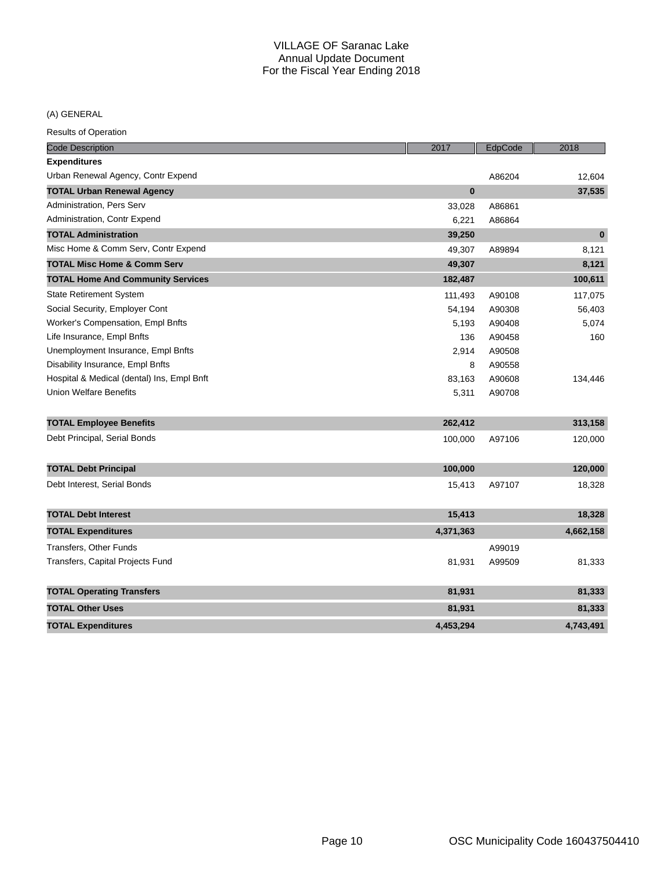## (A) GENERAL

| <b>Code Description</b>                    | 2017         | EdpCode | 2018         |
|--------------------------------------------|--------------|---------|--------------|
| <b>Expenditures</b>                        |              |         |              |
| Urban Renewal Agency, Contr Expend         |              | A86204  | 12,604       |
| <b>TOTAL Urban Renewal Agency</b>          | $\mathbf{0}$ |         | 37,535       |
| Administration, Pers Serv                  | 33,028       | A86861  |              |
| Administration, Contr Expend               | 6,221        | A86864  |              |
| <b>TOTAL Administration</b>                | 39,250       |         | $\mathbf{0}$ |
| Misc Home & Comm Serv, Contr Expend        | 49,307       | A89894  | 8,121        |
| <b>TOTAL Misc Home &amp; Comm Serv</b>     | 49,307       |         | 8,121        |
| <b>TOTAL Home And Community Services</b>   | 182,487      |         | 100,611      |
| <b>State Retirement System</b>             | 111,493      | A90108  | 117,075      |
| Social Security, Employer Cont             | 54,194       | A90308  | 56,403       |
| Worker's Compensation, Empl Bnfts          | 5,193        | A90408  | 5,074        |
| Life Insurance, Empl Bnfts                 | 136          | A90458  | 160          |
| Unemployment Insurance, Empl Bnfts         | 2,914        | A90508  |              |
| Disability Insurance, Empl Bnfts           | 8            | A90558  |              |
| Hospital & Medical (dental) Ins, Empl Bnft | 83,163       | A90608  | 134,446      |
| <b>Union Welfare Benefits</b>              | 5,311        | A90708  |              |
| <b>TOTAL Employee Benefits</b>             | 262,412      |         | 313,158      |
| Debt Principal, Serial Bonds               | 100,000      | A97106  | 120,000      |
| <b>TOTAL Debt Principal</b>                | 100,000      |         | 120,000      |
| Debt Interest, Serial Bonds                | 15,413       | A97107  | 18,328       |
| <b>TOTAL Debt Interest</b>                 | 15,413       |         | 18,328       |
| <b>TOTAL Expenditures</b>                  | 4,371,363    |         | 4,662,158    |
| Transfers, Other Funds                     |              | A99019  |              |
| Transfers, Capital Projects Fund           | 81,931       | A99509  | 81,333       |
| <b>TOTAL Operating Transfers</b>           | 81,931       |         | 81,333       |
| <b>TOTAL Other Uses</b>                    | 81,931       |         | 81,333       |
| <b>TOTAL Expenditures</b>                  | 4,453,294    |         | 4,743,491    |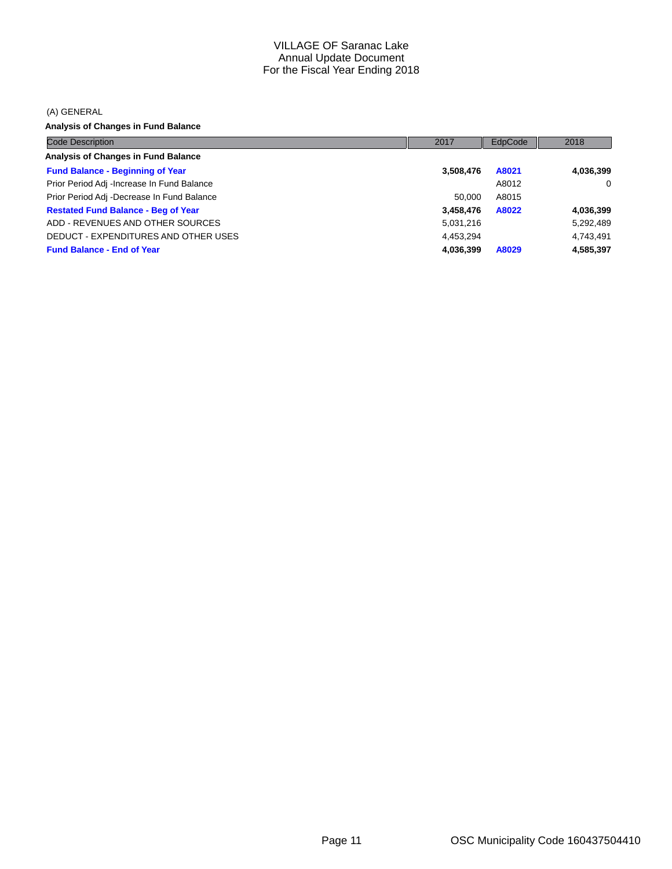(A) GENERAL

**Analysis of Changes in Fund Balance**

| <b>Code Description</b>                    | 2017      | EdpCode | 2018      |
|--------------------------------------------|-----------|---------|-----------|
| <b>Analysis of Changes in Fund Balance</b> |           |         |           |
| <b>Fund Balance - Beginning of Year</b>    | 3,508,476 | A8021   | 4,036,399 |
| Prior Period Adj -Increase In Fund Balance |           | A8012   | $\Omega$  |
| Prior Period Adj -Decrease In Fund Balance | 50.000    | A8015   |           |
| <b>Restated Fund Balance - Beg of Year</b> | 3,458,476 | A8022   | 4,036,399 |
| ADD - REVENUES AND OTHER SOURCES           | 5,031,216 |         | 5,292,489 |
| DEDUCT - EXPENDITURES AND OTHER USES       | 4,453,294 |         | 4,743,491 |
| <b>Fund Balance - End of Year</b>          | 4,036,399 | A8029   | 4,585,397 |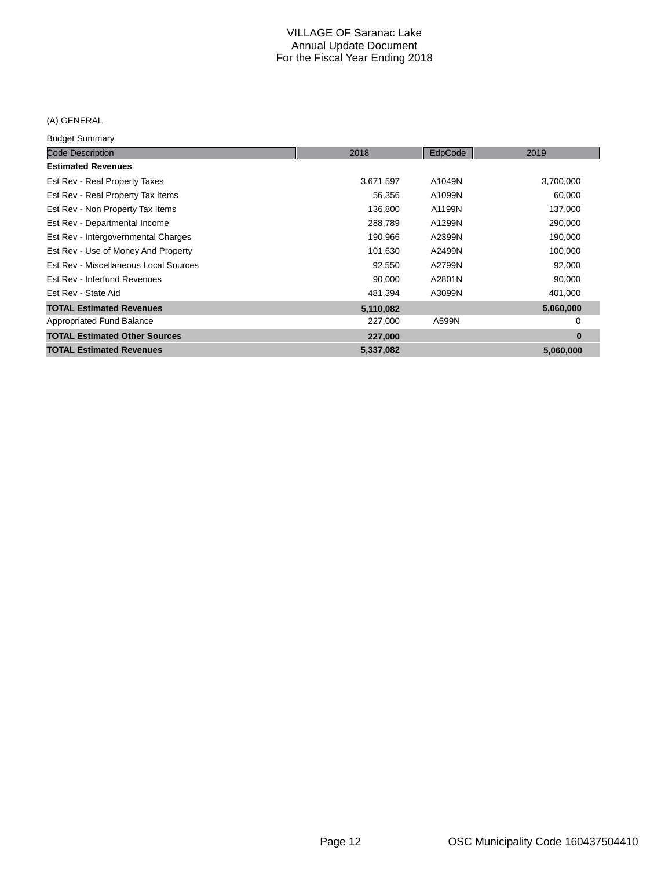## (A) GENERAL

Budget Summary

| Paagot Danmary                        |           |         |           |
|---------------------------------------|-----------|---------|-----------|
| <b>Code Description</b>               | 2018      | EdpCode | 2019      |
| <b>Estimated Revenues</b>             |           |         |           |
| Est Rev - Real Property Taxes         | 3,671,597 | A1049N  | 3,700,000 |
| Est Rev - Real Property Tax Items     | 56,356    | A1099N  | 60,000    |
| Est Rev - Non Property Tax Items      | 136,800   | A1199N  | 137,000   |
| Est Rev - Departmental Income         | 288,789   | A1299N  | 290,000   |
| Est Rev - Intergovernmental Charges   | 190,966   | A2399N  | 190,000   |
| Est Rev - Use of Money And Property   | 101,630   | A2499N  | 100,000   |
| Est Rev - Miscellaneous Local Sources | 92,550    | A2799N  | 92,000    |
| Est Rev - Interfund Revenues          | 90,000    | A2801N  | 90,000    |
| Est Rev - State Aid                   | 481,394   | A3099N  | 401,000   |
| <b>TOTAL Estimated Revenues</b>       | 5,110,082 |         | 5,060,000 |
| Appropriated Fund Balance             | 227,000   | A599N   | 0         |
| <b>TOTAL Estimated Other Sources</b>  | 227,000   |         | $\bf{0}$  |
| <b>TOTAL Estimated Revenues</b>       | 5,337,082 |         | 5,060,000 |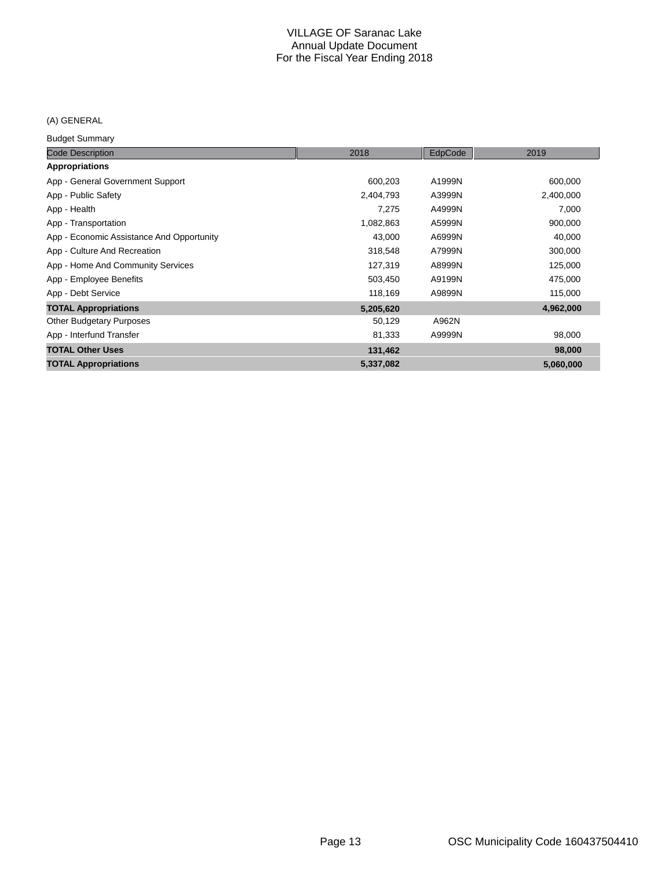## (A) GENERAL

Budget Summary

| <b>Code Description</b>                   | 2018      | EdpCode | 2019      |
|-------------------------------------------|-----------|---------|-----------|
| <b>Appropriations</b>                     |           |         |           |
| App - General Government Support          | 600,203   | A1999N  | 600,000   |
| App - Public Safety                       | 2,404,793 | A3999N  | 2,400,000 |
| App - Health                              | 7,275     | A4999N  | 7,000     |
| App - Transportation                      | 1,082,863 | A5999N  | 900,000   |
| App - Economic Assistance And Opportunity | 43,000    | A6999N  | 40,000    |
| App - Culture And Recreation              | 318,548   | A7999N  | 300,000   |
| App - Home And Community Services         | 127,319   | A8999N  | 125,000   |
| App - Employee Benefits                   | 503,450   | A9199N  | 475,000   |
| App - Debt Service                        | 118,169   | A9899N  | 115,000   |
| <b>TOTAL Appropriations</b>               | 5,205,620 |         | 4,962,000 |
| <b>Other Budgetary Purposes</b>           | 50,129    | A962N   |           |
| App - Interfund Transfer                  | 81,333    | A9999N  | 98,000    |
| <b>TOTAL Other Uses</b>                   | 131,462   |         | 98,000    |
| <b>TOTAL Appropriations</b>               | 5,337,082 |         | 5,060,000 |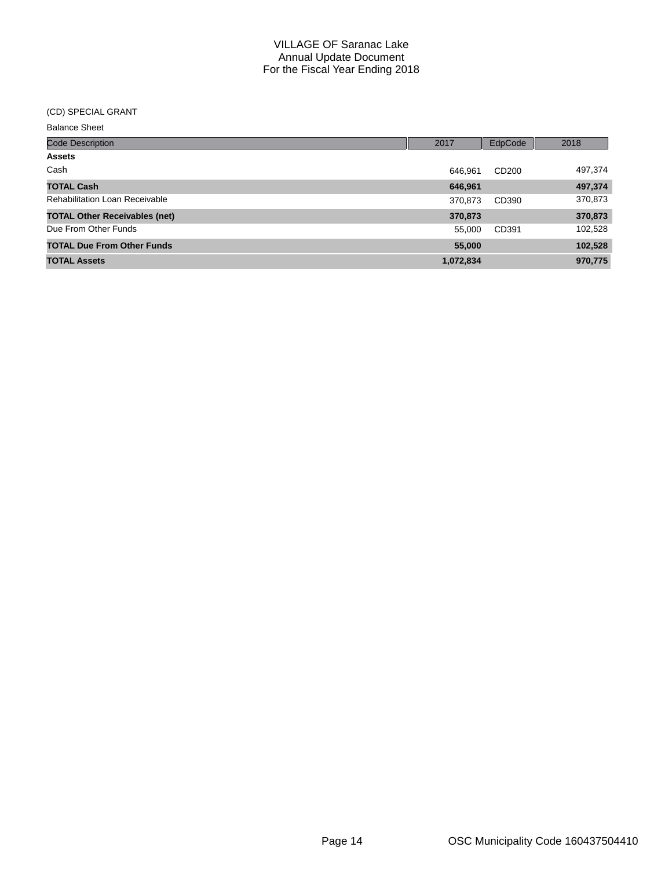#### (CD) SPECIAL GRANT

| <b>Balance Sheet</b> |  |
|----------------------|--|
|----------------------|--|

| <b>Code Description</b>               | 2017      | EdpCode           | 2018    |
|---------------------------------------|-----------|-------------------|---------|
| <b>Assets</b>                         |           |                   |         |
| Cash                                  | 646.961   | CD <sub>200</sub> | 497,374 |
| <b>TOTAL Cash</b>                     | 646,961   |                   | 497,374 |
| <b>Rehabilitation Loan Receivable</b> | 370,873   | CD390             | 370,873 |
| <b>TOTAL Other Receivables (net)</b>  | 370,873   |                   | 370,873 |
| Due From Other Funds                  | 55,000    | CD391             | 102,528 |
| <b>TOTAL Due From Other Funds</b>     | 55,000    |                   | 102,528 |
| <b>TOTAL Assets</b>                   | 1,072,834 |                   | 970,775 |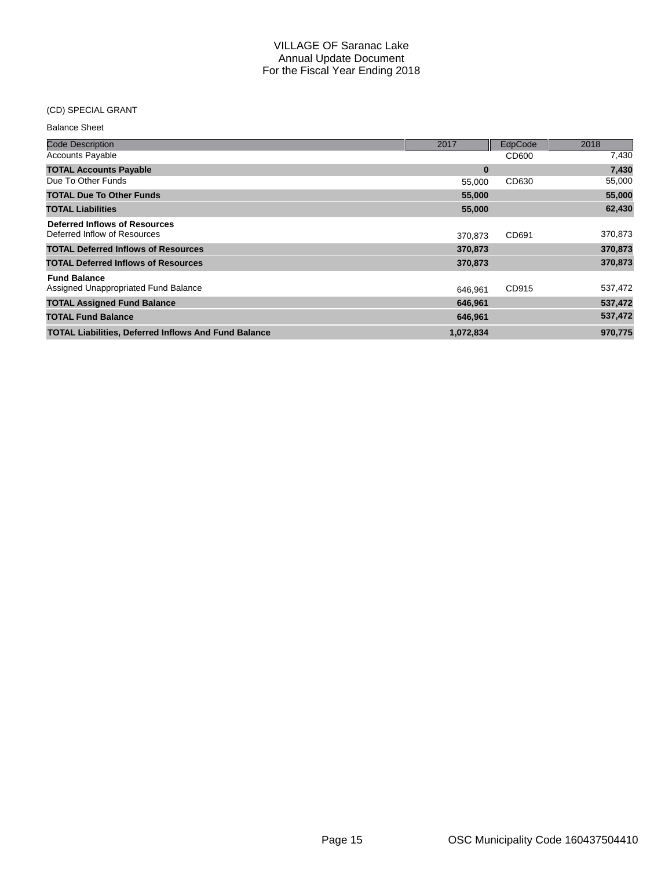## (CD) SPECIAL GRANT

| <b>Balance Sheet</b>                                        |           |         |         |
|-------------------------------------------------------------|-----------|---------|---------|
| <b>Code Description</b>                                     | 2017      | EdpCode | 2018    |
| <b>Accounts Payable</b>                                     |           | CD600   | 7,430   |
| <b>TOTAL Accounts Payable</b>                               | $\bf{0}$  |         | 7,430   |
| Due To Other Funds                                          | 55,000    | CD630   | 55,000  |
| <b>TOTAL Due To Other Funds</b>                             | 55,000    |         | 55,000  |
| <b>TOTAL Liabilities</b>                                    | 55,000    |         | 62,430  |
| <b>Deferred Inflows of Resources</b>                        |           |         |         |
| Deferred Inflow of Resources                                | 370.873   | CD691   | 370,873 |
| <b>TOTAL Deferred Inflows of Resources</b>                  | 370,873   |         | 370,873 |
| <b>TOTAL Deferred Inflows of Resources</b>                  | 370,873   |         | 370,873 |
| <b>Fund Balance</b>                                         |           |         |         |
| Assigned Unappropriated Fund Balance                        | 646,961   | CD915   | 537,472 |
| <b>TOTAL Assigned Fund Balance</b>                          | 646,961   |         | 537,472 |
| <b>TOTAL Fund Balance</b>                                   | 646,961   |         | 537,472 |
| <b>TOTAL Liabilities, Deferred Inflows And Fund Balance</b> | 1,072,834 |         | 970,775 |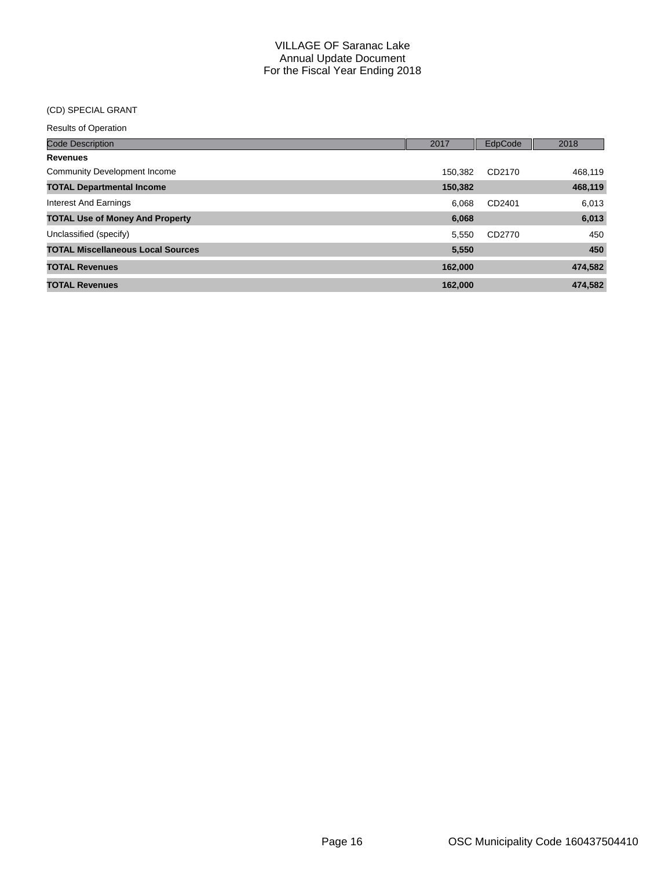## (CD) SPECIAL GRANT

| <b>Code Description</b>                  | 2017    | EdpCode | 2018    |
|------------------------------------------|---------|---------|---------|
| <b>Revenues</b>                          |         |         |         |
| <b>Community Development Income</b>      | 150.382 | CD2170  | 468,119 |
| <b>TOTAL Departmental Income</b>         | 150,382 |         | 468,119 |
| Interest And Earnings                    | 6.068   | CD2401  | 6,013   |
| <b>TOTAL Use of Money And Property</b>   | 6,068   |         | 6,013   |
| Unclassified (specify)                   | 5.550   | CD2770  | 450     |
| <b>TOTAL Miscellaneous Local Sources</b> | 5,550   |         | 450     |
| <b>TOTAL Revenues</b>                    | 162,000 |         | 474,582 |
| <b>TOTAL Revenues</b>                    | 162.000 |         | 474,582 |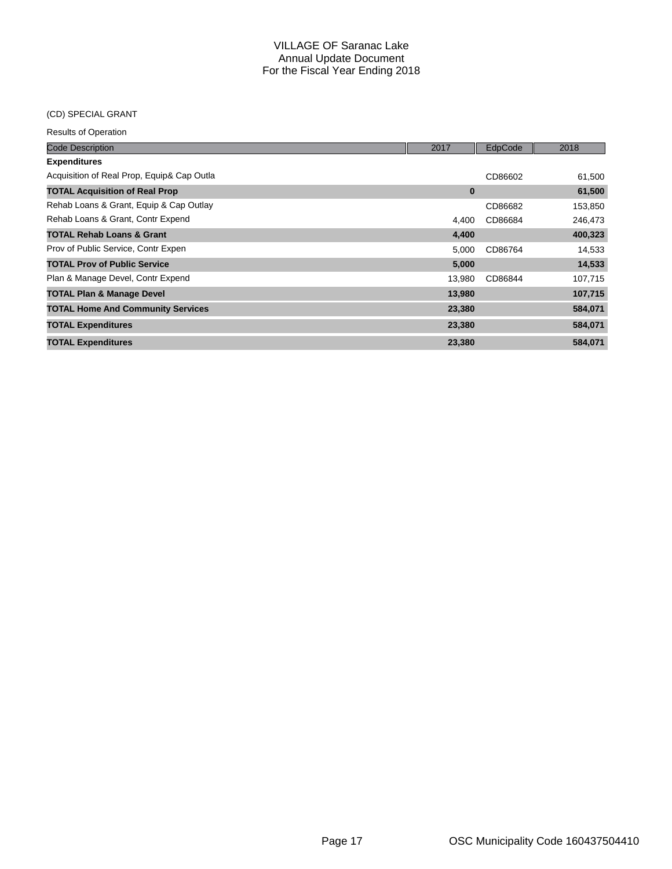## (CD) SPECIAL GRANT

| <b>Code Description</b>                    | 2017     | EdpCode | 2018    |
|--------------------------------------------|----------|---------|---------|
| <b>Expenditures</b>                        |          |         |         |
| Acquisition of Real Prop, Equip& Cap Outla |          | CD86602 | 61,500  |
| <b>TOTAL Acquisition of Real Prop</b>      | $\bf{0}$ |         | 61,500  |
| Rehab Loans & Grant, Equip & Cap Outlay    |          | CD86682 | 153,850 |
| Rehab Loans & Grant, Contr Expend          | 4.400    | CD86684 | 246,473 |
| <b>TOTAL Rehab Loans &amp; Grant</b>       | 4,400    |         | 400,323 |
| Prov of Public Service, Contr Expen        | 5,000    | CD86764 | 14,533  |
| <b>TOTAL Prov of Public Service</b>        | 5,000    |         | 14,533  |
| Plan & Manage Devel, Contr Expend          | 13,980   | CD86844 | 107,715 |
| <b>TOTAL Plan &amp; Manage Devel</b>       | 13,980   |         | 107,715 |
| <b>TOTAL Home And Community Services</b>   | 23,380   |         | 584,071 |
| <b>TOTAL Expenditures</b>                  | 23,380   |         | 584,071 |
| <b>TOTAL Expenditures</b>                  | 23,380   |         | 584,071 |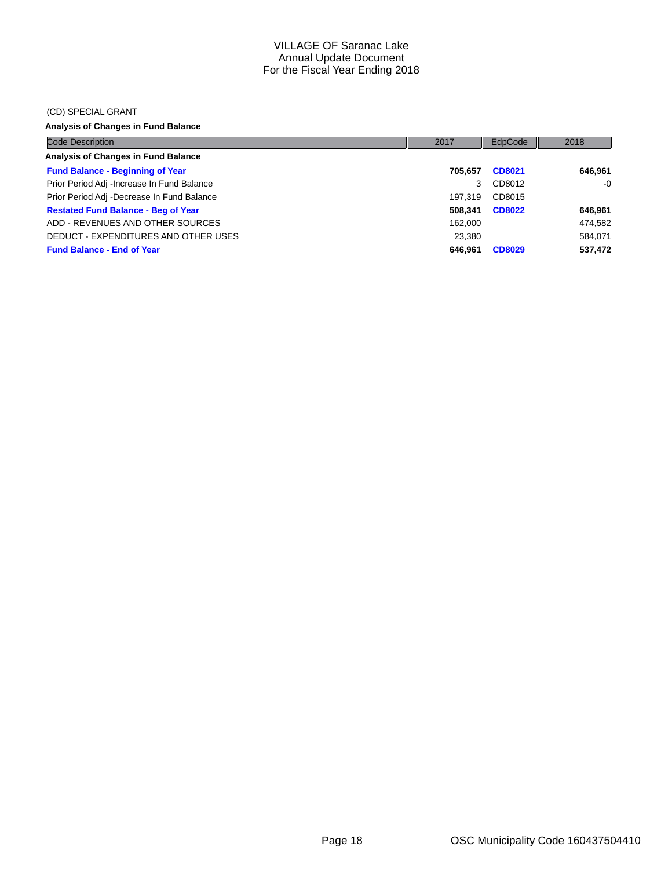#### (CD) SPECIAL GRANT

## **Analysis of Changes in Fund Balance**

| <b>Code Description</b>                    | 2017    | EdpCode       | 2018    |
|--------------------------------------------|---------|---------------|---------|
| Analysis of Changes in Fund Balance        |         |               |         |
| <b>Fund Balance - Beginning of Year</b>    | 705.657 | CD8021        | 646.961 |
| Prior Period Adj -Increase In Fund Balance | 3       | CD8012        | $-0$    |
| Prior Period Adj -Decrease In Fund Balance | 197.319 | CD8015        |         |
| <b>Restated Fund Balance - Beg of Year</b> | 508.341 | <b>CD8022</b> | 646,961 |
| ADD - REVENUES AND OTHER SOURCES           | 162.000 |               | 474,582 |
| DEDUCT - EXPENDITURES AND OTHER USES       | 23.380  |               | 584.071 |
| <b>Fund Balance - End of Year</b>          | 646.961 | <b>CD8029</b> | 537,472 |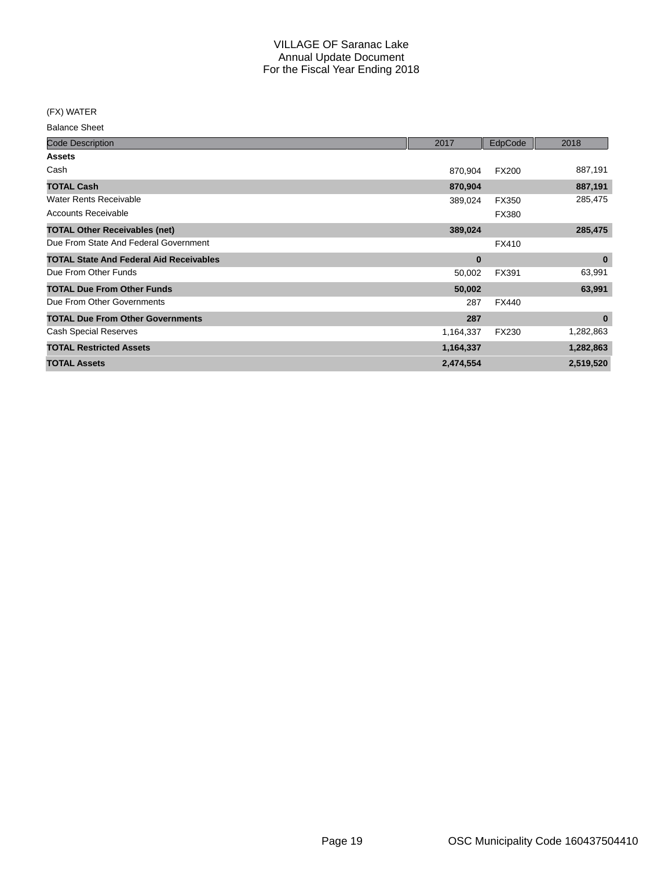(FX) WATER

Balance Sheet

| <b>Code Description</b>                        | 2017      | EdpCode      | 2018      |
|------------------------------------------------|-----------|--------------|-----------|
| <b>Assets</b>                                  |           |              |           |
| Cash                                           | 870,904   | <b>FX200</b> | 887,191   |
| <b>TOTAL Cash</b>                              | 870,904   |              | 887,191   |
| <b>Water Rents Receivable</b>                  | 389,024   | <b>FX350</b> | 285,475   |
| Accounts Receivable                            |           | FX380        |           |
| <b>TOTAL Other Receivables (net)</b>           | 389,024   |              | 285,475   |
| Due From State And Federal Government          |           | <b>FX410</b> |           |
| <b>TOTAL State And Federal Aid Receivables</b> | 0         |              | $\bf{0}$  |
| Due From Other Funds                           | 50,002    | FX391        | 63,991    |
| <b>TOTAL Due From Other Funds</b>              | 50,002    |              | 63,991    |
| Due From Other Governments                     | 287       | <b>FX440</b> |           |
| <b>TOTAL Due From Other Governments</b>        | 287       |              | $\bf{0}$  |
| <b>Cash Special Reserves</b>                   | 1,164,337 | FX230        | 1,282,863 |
| <b>TOTAL Restricted Assets</b>                 | 1,164,337 |              | 1,282,863 |
| <b>TOTAL Assets</b>                            | 2,474,554 |              | 2,519,520 |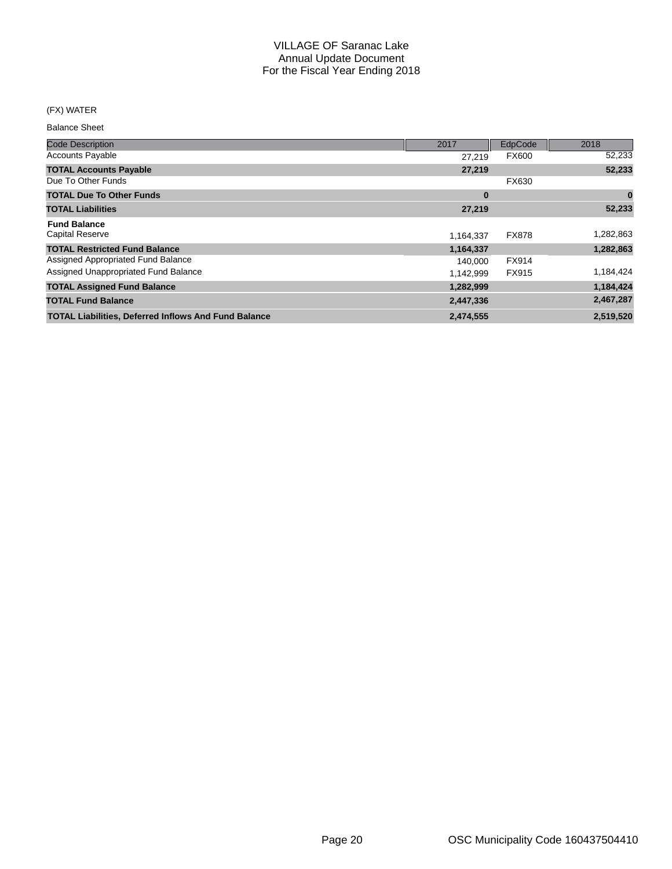## (FX) WATER

Balance Sheet

| <b>Code Description</b>                                     | 2017      | EdpCode      | 2018      |
|-------------------------------------------------------------|-----------|--------------|-----------|
| <b>Accounts Payable</b>                                     | 27.219    | <b>FX600</b> | 52,233    |
| <b>TOTAL Accounts Payable</b>                               | 27,219    |              | 52,233    |
| Due To Other Funds                                          |           | FX630        |           |
| <b>TOTAL Due To Other Funds</b>                             | $\bf{0}$  |              | 0         |
| <b>TOTAL Liabilities</b>                                    | 27,219    |              | 52,233    |
| <b>Fund Balance</b>                                         |           |              |           |
| <b>Capital Reserve</b>                                      | 1,164,337 | <b>FX878</b> | 1,282,863 |
| <b>TOTAL Restricted Fund Balance</b>                        | 1,164,337 |              | 1,282,863 |
| Assigned Appropriated Fund Balance                          | 140,000   | FX914        |           |
| Assigned Unappropriated Fund Balance                        | 1.142.999 | FX915        | 1,184,424 |
| <b>TOTAL Assigned Fund Balance</b>                          | 1,282,999 |              | 1,184,424 |
| <b>TOTAL Fund Balance</b>                                   | 2,447,336 |              | 2,467,287 |
| <b>TOTAL Liabilities, Deferred Inflows And Fund Balance</b> | 2,474,555 |              | 2,519,520 |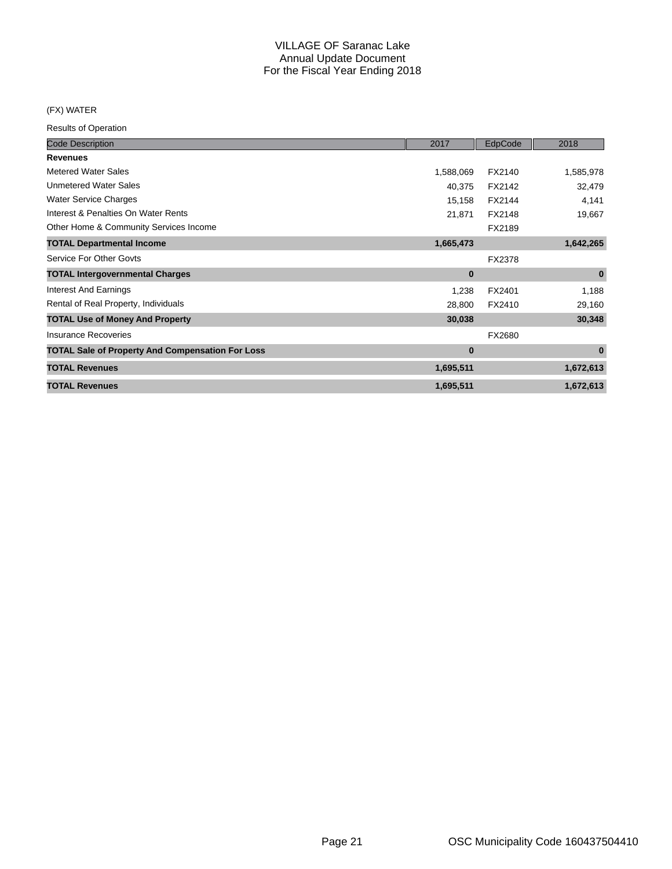### (FX) WATER

| <b>Code Description</b>                                 | 2017      | EdpCode | 2018      |
|---------------------------------------------------------|-----------|---------|-----------|
| <b>Revenues</b>                                         |           |         |           |
| <b>Metered Water Sales</b>                              | 1,588,069 | FX2140  | 1,585,978 |
| <b>Unmetered Water Sales</b>                            | 40,375    | FX2142  | 32,479    |
| <b>Water Service Charges</b>                            | 15,158    | FX2144  | 4,141     |
| Interest & Penalties On Water Rents                     | 21,871    | FX2148  | 19,667    |
| Other Home & Community Services Income                  |           | FX2189  |           |
| <b>TOTAL Departmental Income</b>                        | 1,665,473 |         | 1,642,265 |
| Service For Other Govts                                 |           | FX2378  |           |
| <b>TOTAL Intergovernmental Charges</b>                  | $\bf{0}$  |         | $\bf{0}$  |
| <b>Interest And Earnings</b>                            | 1,238     | FX2401  | 1,188     |
| Rental of Real Property, Individuals                    | 28,800    | FX2410  | 29,160    |
| <b>TOTAL Use of Money And Property</b>                  | 30,038    |         | 30,348    |
| Insurance Recoveries                                    |           | FX2680  |           |
| <b>TOTAL Sale of Property And Compensation For Loss</b> | $\bf{0}$  |         | $\bf{0}$  |
| <b>TOTAL Revenues</b>                                   | 1,695,511 |         | 1,672,613 |
| <b>TOTAL Revenues</b>                                   | 1,695,511 |         | 1,672,613 |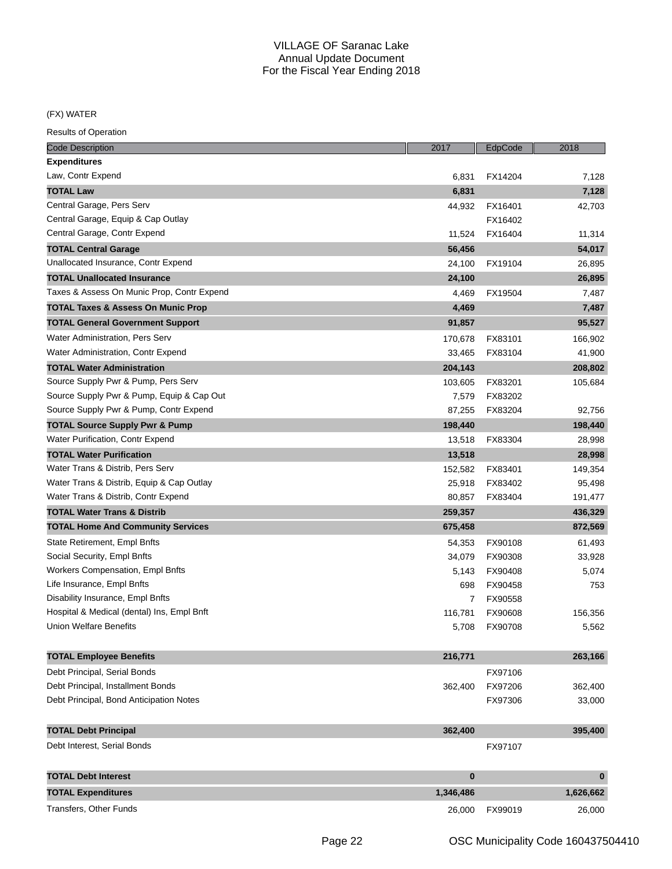(FX) WATER

| <b>Code Description</b>                       | 2017      | EdpCode | 2018      |
|-----------------------------------------------|-----------|---------|-----------|
| <b>Expenditures</b>                           |           |         |           |
| Law, Contr Expend                             | 6,831     | FX14204 | 7,128     |
| <b>TOTAL Law</b>                              | 6,831     |         | 7,128     |
| Central Garage, Pers Serv                     | 44,932    | FX16401 | 42,703    |
| Central Garage, Equip & Cap Outlay            |           | FX16402 |           |
| Central Garage, Contr Expend                  | 11,524    | FX16404 | 11,314    |
| <b>TOTAL Central Garage</b>                   | 56,456    |         | 54,017    |
| Unallocated Insurance, Contr Expend           | 24,100    | FX19104 | 26,895    |
| <b>TOTAL Unallocated Insurance</b>            | 24,100    |         | 26,895    |
| Taxes & Assess On Munic Prop, Contr Expend    | 4,469     | FX19504 | 7,487     |
| <b>TOTAL Taxes &amp; Assess On Munic Prop</b> | 4,469     |         | 7,487     |
| <b>TOTAL General Government Support</b>       | 91,857    |         | 95,527    |
| Water Administration, Pers Serv               | 170,678   | FX83101 | 166,902   |
| Water Administration, Contr Expend            | 33,465    | FX83104 | 41,900    |
| <b>TOTAL Water Administration</b>             | 204,143   |         | 208,802   |
| Source Supply Pwr & Pump, Pers Serv           | 103,605   | FX83201 | 105,684   |
| Source Supply Pwr & Pump, Equip & Cap Out     | 7,579     | FX83202 |           |
| Source Supply Pwr & Pump, Contr Expend        | 87,255    | FX83204 | 92,756    |
| <b>TOTAL Source Supply Pwr &amp; Pump</b>     | 198,440   |         | 198,440   |
| Water Purification, Contr Expend              | 13,518    | FX83304 | 28,998    |
| <b>TOTAL Water Purification</b>               | 13,518    |         | 28,998    |
| Water Trans & Distrib, Pers Serv              | 152,582   | FX83401 | 149,354   |
| Water Trans & Distrib, Equip & Cap Outlay     | 25,918    | FX83402 | 95,498    |
| Water Trans & Distrib, Contr Expend           | 80,857    | FX83404 | 191,477   |
| <b>TOTAL Water Trans &amp; Distrib</b>        | 259,357   |         | 436,329   |
| <b>TOTAL Home And Community Services</b>      | 675,458   |         | 872,569   |
| State Retirement, Empl Bnfts                  | 54,353    | FX90108 | 61,493    |
| Social Security, Empl Bnfts                   | 34,079    | FX90308 | 33,928    |
| Workers Compensation, Empl Bnfts              | 5,143     | FX90408 | 5,074     |
| Life Insurance, Empl Bnfts                    | 698       | FX90458 | 753       |
| Disability Insurance, Empl Bnfts              | 7         | FX90558 |           |
| Hospital & Medical (dental) Ins, Empl Bnft    | 116,781   | FX90608 | 156,356   |
| Union Welfare Benefits                        | 5,708     | FX90708 | 5,562     |
|                                               |           |         |           |
| <b>TOTAL Employee Benefits</b>                | 216,771   |         | 263,166   |
| Debt Principal, Serial Bonds                  |           | FX97106 |           |
| Debt Principal, Installment Bonds             | 362,400   | FX97206 | 362,400   |
| Debt Principal, Bond Anticipation Notes       |           | FX97306 | 33,000    |
|                                               |           |         |           |
| <b>TOTAL Debt Principal</b>                   | 362,400   |         | 395,400   |
| Debt Interest, Serial Bonds                   |           | FX97107 |           |
| <b>TOTAL Debt Interest</b>                    | $\bf{0}$  |         | $\bf{0}$  |
| <b>TOTAL Expenditures</b>                     | 1,346,486 |         | 1,626,662 |
| Transfers, Other Funds                        | 26,000    | FX99019 | 26,000    |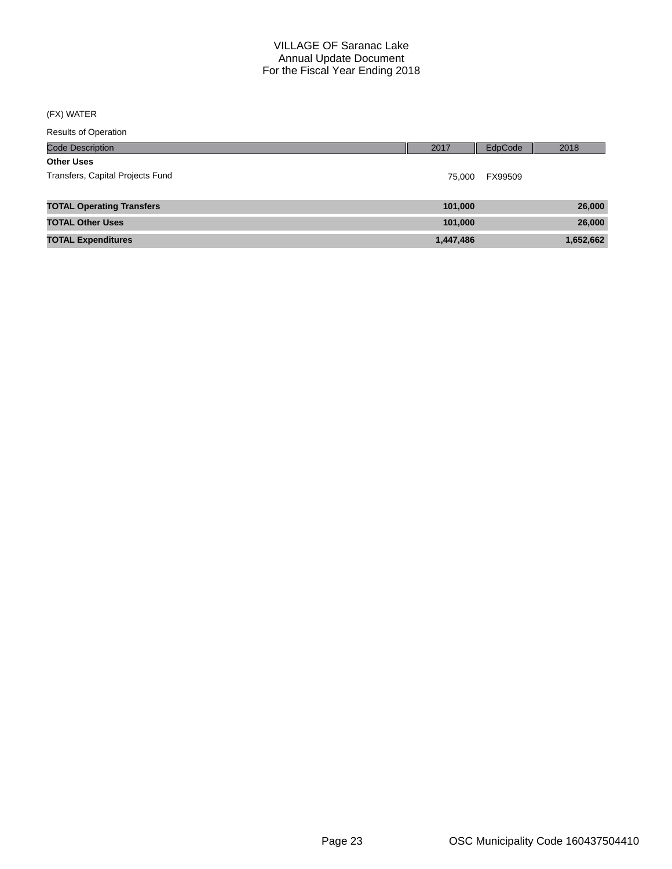## (FX) WATER

| <b>Results of Operation</b>      |           |         |           |
|----------------------------------|-----------|---------|-----------|
| <b>Code Description</b>          | 2017      | EdpCode | 2018      |
| <b>Other Uses</b>                |           |         |           |
| Transfers, Capital Projects Fund | 75.000    | FX99509 |           |
|                                  |           |         |           |
| <b>TOTAL Operating Transfers</b> | 101,000   |         | 26,000    |
| <b>TOTAL Other Uses</b>          | 101,000   |         | 26,000    |
| <b>TOTAL Expenditures</b>        | 1,447,486 |         | 1,652,662 |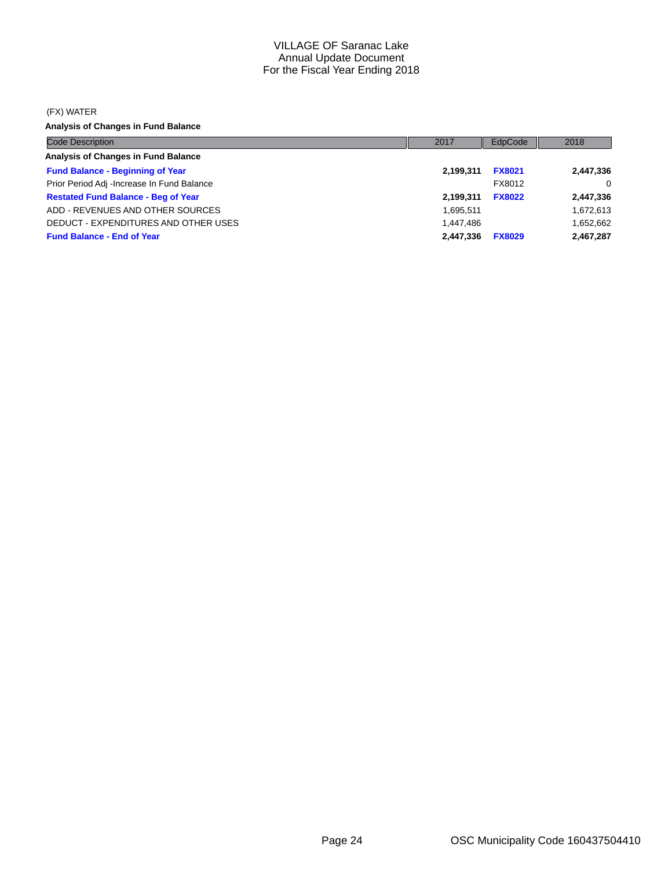#### (FX) WATER

**Analysis of Changes in Fund Balance**

| <b>Code Description</b>                    | 2017      | EdpCode       | 2018      |
|--------------------------------------------|-----------|---------------|-----------|
| Analysis of Changes in Fund Balance        |           |               |           |
| <b>Fund Balance - Beginning of Year</b>    | 2,199,311 | <b>FX8021</b> | 2,447,336 |
| Prior Period Adj -Increase In Fund Balance |           | FX8012        | $\Omega$  |
| <b>Restated Fund Balance - Beg of Year</b> | 2,199,311 | <b>FX8022</b> | 2,447,336 |
| ADD - REVENUES AND OTHER SOURCES           | 1,695,511 |               | 1,672,613 |
| DEDUCT - EXPENDITURES AND OTHER USES       | 1.447.486 |               | 1,652,662 |
| <b>Fund Balance - End of Year</b>          | 2,447,336 | <b>FX8029</b> | 2,467,287 |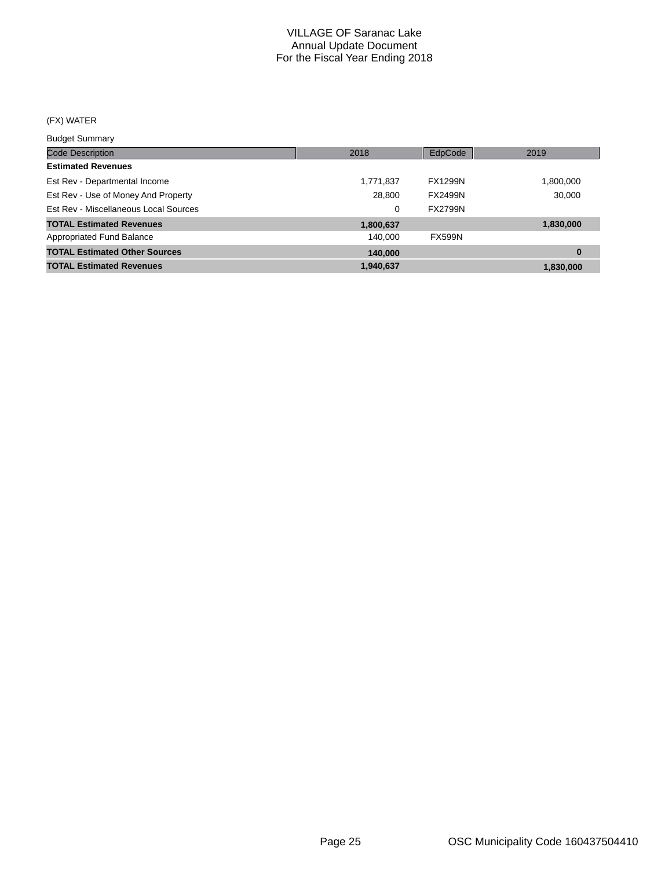## (FX) WATER

#### Budget Summary

| ___________________                   |           |                |           |
|---------------------------------------|-----------|----------------|-----------|
| <b>Code Description</b>               | 2018      | EdpCode        | 2019      |
| <b>Estimated Revenues</b>             |           |                |           |
| Est Rev - Departmental Income         | 1,771,837 | <b>FX1299N</b> | 1,800,000 |
| Est Rev - Use of Money And Property   | 28,800    | <b>FX2499N</b> | 30,000    |
| Est Rev - Miscellaneous Local Sources | 0         | <b>FX2799N</b> |           |
| <b>TOTAL Estimated Revenues</b>       | 1,800,637 |                | 1,830,000 |
| <b>Appropriated Fund Balance</b>      | 140.000   | <b>FX599N</b>  |           |
| <b>TOTAL Estimated Other Sources</b>  | 140,000   |                | $\bf{0}$  |
| <b>TOTAL Estimated Revenues</b>       | 1,940,637 |                | 1,830,000 |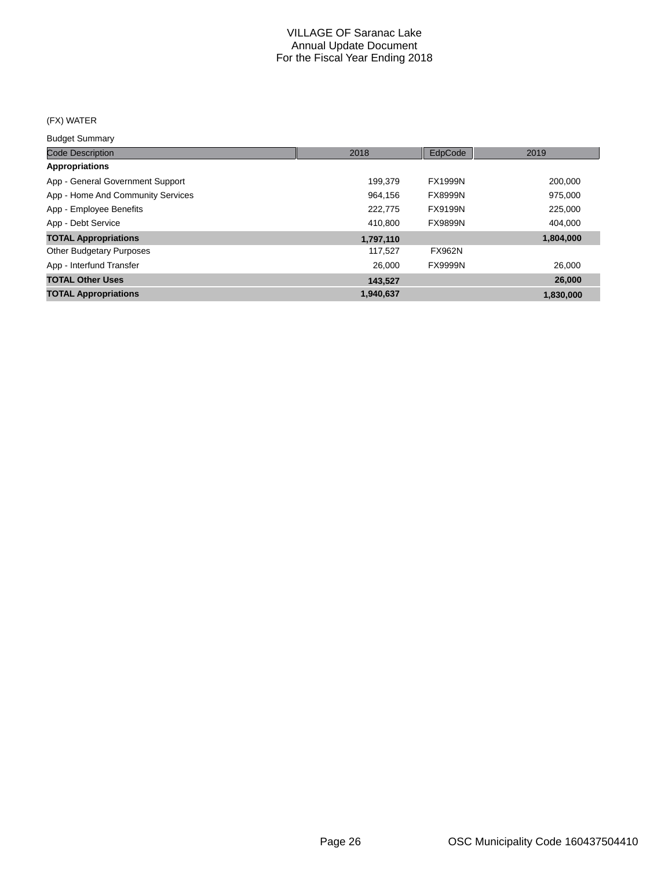## (FX) WATER

Budget Summary

| <b>Code Description</b>           | 2018      | EdpCode        | 2019      |
|-----------------------------------|-----------|----------------|-----------|
| Appropriations                    |           |                |           |
| App - General Government Support  | 199.379   | <b>FX1999N</b> | 200,000   |
| App - Home And Community Services | 964.156   | <b>FX8999N</b> | 975,000   |
| App - Employee Benefits           | 222.775   | FX9199N        | 225,000   |
| App - Debt Service                | 410,800   | <b>FX9899N</b> | 404,000   |
| <b>TOTAL Appropriations</b>       | 1,797,110 |                | 1,804,000 |
| <b>Other Budgetary Purposes</b>   | 117,527   | <b>FX962N</b>  |           |
| App - Interfund Transfer          | 26,000    | <b>FX9999N</b> | 26,000    |
| <b>TOTAL Other Uses</b>           | 143.527   |                | 26,000    |
| <b>TOTAL Appropriations</b>       | 1.940.637 |                | 1,830,000 |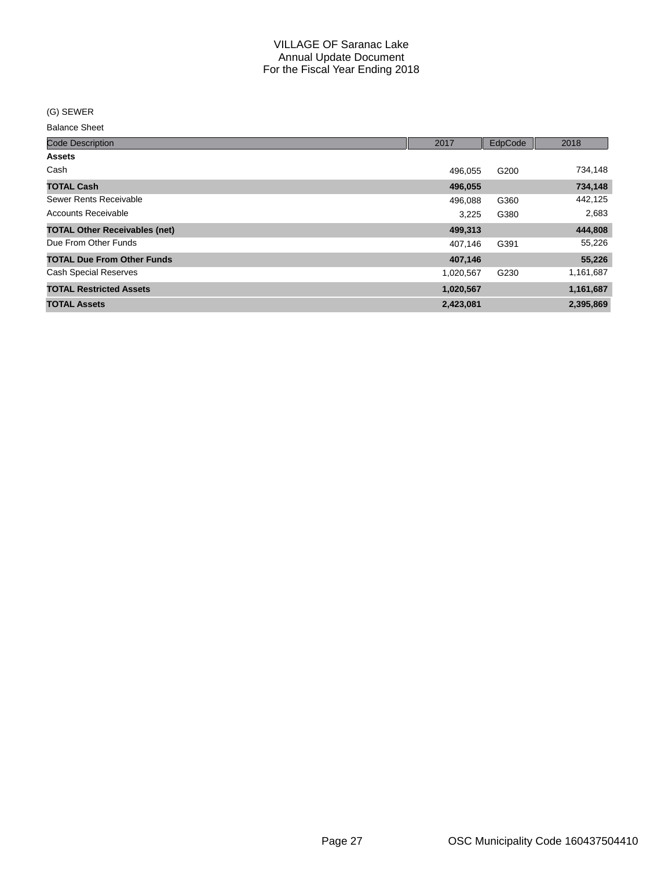(G) SEWER

Balance Sheet

| <b>Code Description</b>              | 2017      | EdpCode | 2018      |
|--------------------------------------|-----------|---------|-----------|
| <b>Assets</b>                        |           |         |           |
| Cash                                 | 496.055   | G200    | 734,148   |
| <b>TOTAL Cash</b>                    | 496,055   |         | 734,148   |
| Sewer Rents Receivable               | 496,088   | G360    | 442,125   |
| Accounts Receivable                  | 3,225     | G380    | 2,683     |
| <b>TOTAL Other Receivables (net)</b> | 499,313   |         | 444,808   |
| Due From Other Funds                 | 407,146   | G391    | 55,226    |
| <b>TOTAL Due From Other Funds</b>    | 407,146   |         | 55,226    |
| <b>Cash Special Reserves</b>         | 1,020,567 | G230    | 1,161,687 |
| <b>TOTAL Restricted Assets</b>       | 1,020,567 |         | 1,161,687 |
| <b>TOTAL Assets</b>                  | 2,423,081 |         | 2,395,869 |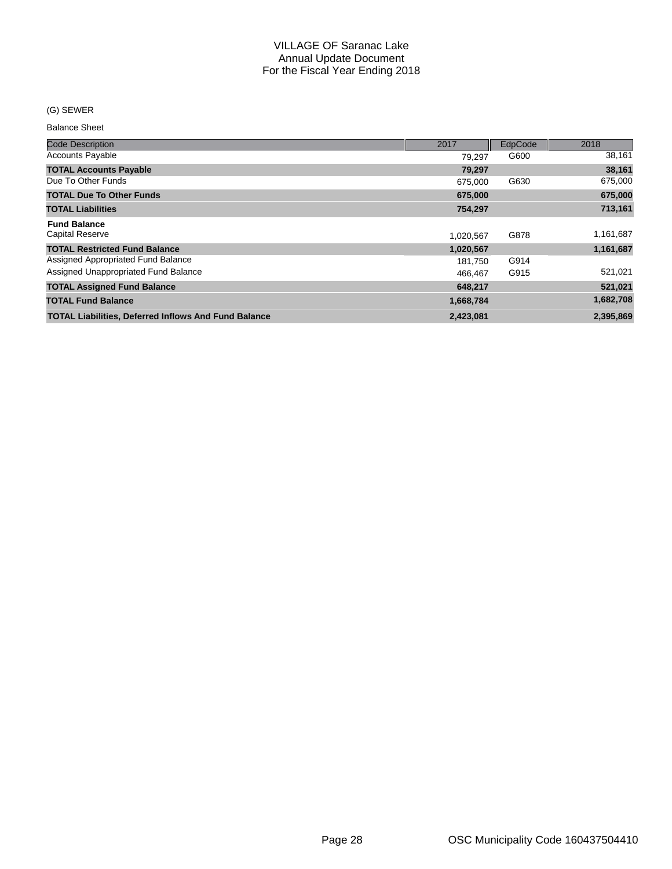### (G) SEWER

Balance Sheet

| <b>Code Description</b>                                     | 2017      | EdpCode | 2018      |
|-------------------------------------------------------------|-----------|---------|-----------|
| <b>Accounts Payable</b>                                     | 79.297    | G600    | 38,161    |
| <b>TOTAL Accounts Payable</b>                               | 79,297    |         | 38,161    |
| Due To Other Funds                                          | 675.000   | G630    | 675,000   |
| <b>TOTAL Due To Other Funds</b>                             | 675,000   |         | 675,000   |
| <b>TOTAL Liabilities</b>                                    | 754,297   |         | 713,161   |
| <b>Fund Balance</b>                                         |           |         |           |
| <b>Capital Reserve</b>                                      | 1,020,567 | G878    | 1,161,687 |
| <b>TOTAL Restricted Fund Balance</b>                        | 1,020,567 |         | 1,161,687 |
| Assigned Appropriated Fund Balance                          | 181,750   | G914    |           |
| Assigned Unappropriated Fund Balance                        | 466.467   | G915    | 521,021   |
| <b>TOTAL Assigned Fund Balance</b>                          | 648,217   |         | 521,021   |
| <b>TOTAL Fund Balance</b>                                   | 1,668,784 |         | 1,682,708 |
| <b>TOTAL Liabilities, Deferred Inflows And Fund Balance</b> | 2,423,081 |         | 2,395,869 |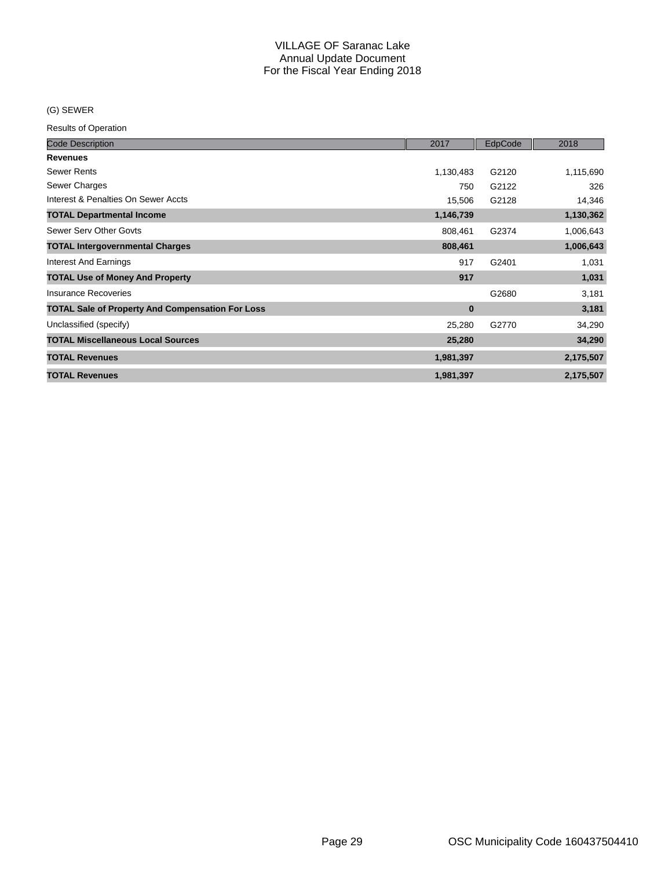### (G) SEWER

| <b>Code Description</b>                                 | 2017      | EdpCode | 2018      |
|---------------------------------------------------------|-----------|---------|-----------|
| <b>Revenues</b>                                         |           |         |           |
| <b>Sewer Rents</b>                                      | 1,130,483 | G2120   | 1,115,690 |
| Sewer Charges                                           | 750       | G2122   | 326       |
| Interest & Penalties On Sewer Accts                     | 15,506    | G2128   | 14,346    |
| <b>TOTAL Departmental Income</b>                        | 1,146,739 |         | 1,130,362 |
| Sewer Serv Other Govts                                  | 808,461   | G2374   | 1,006,643 |
| <b>TOTAL Intergovernmental Charges</b>                  | 808,461   |         | 1,006,643 |
| <b>Interest And Earnings</b>                            | 917       | G2401   | 1,031     |
| <b>TOTAL Use of Money And Property</b>                  | 917       |         | 1,031     |
| Insurance Recoveries                                    |           | G2680   | 3,181     |
| <b>TOTAL Sale of Property And Compensation For Loss</b> | $\bf{0}$  |         | 3,181     |
| Unclassified (specify)                                  | 25,280    | G2770   | 34,290    |
| <b>TOTAL Miscellaneous Local Sources</b>                | 25,280    |         | 34,290    |
| <b>TOTAL Revenues</b>                                   | 1,981,397 |         | 2,175,507 |
| <b>TOTAL Revenues</b>                                   | 1,981,397 |         | 2,175,507 |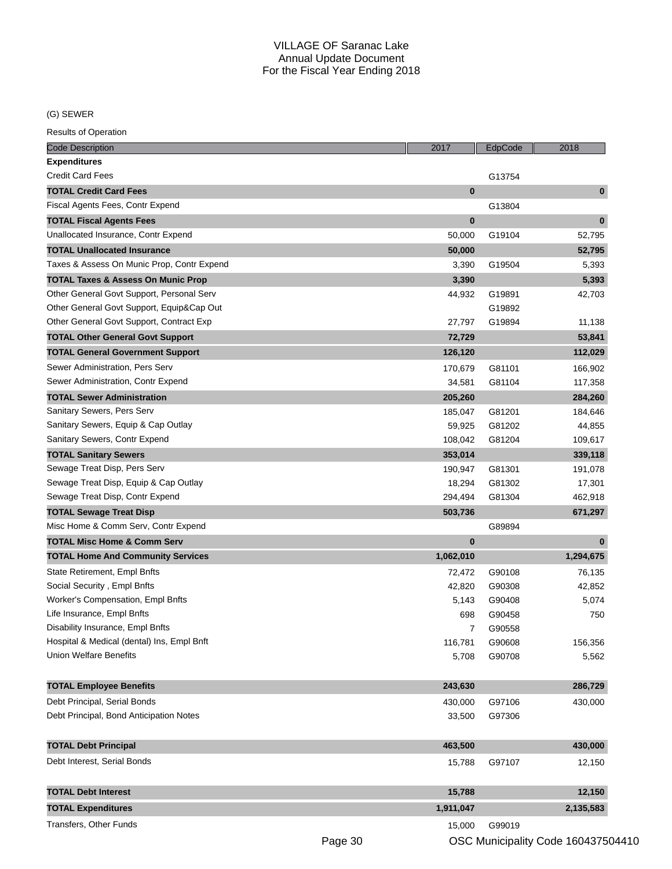(G) SEWER

| <b>Code Description</b>                       | 2017      | EdpCode | 2018      |
|-----------------------------------------------|-----------|---------|-----------|
| <b>Expenditures</b>                           |           |         |           |
| <b>Credit Card Fees</b>                       |           | G13754  |           |
| <b>TOTAL Credit Card Fees</b>                 | $\bf{0}$  |         | $\bf{0}$  |
| Fiscal Agents Fees, Contr Expend              |           | G13804  |           |
| <b>TOTAL Fiscal Agents Fees</b>               | $\bf{0}$  |         | $\bf{0}$  |
| Unallocated Insurance, Contr Expend           | 50,000    | G19104  | 52,795    |
| <b>TOTAL Unallocated Insurance</b>            | 50,000    |         | 52,795    |
| Taxes & Assess On Munic Prop, Contr Expend    | 3,390     | G19504  | 5,393     |
| <b>TOTAL Taxes &amp; Assess On Munic Prop</b> | 3,390     |         | 5,393     |
| Other General Govt Support, Personal Serv     | 44,932    | G19891  | 42,703    |
| Other General Govt Support, Equip⋒ Out        |           | G19892  |           |
| Other General Govt Support, Contract Exp      | 27,797    | G19894  | 11,138    |
| <b>TOTAL Other General Govt Support</b>       | 72,729    |         | 53,841    |
| <b>TOTAL General Government Support</b>       | 126,120   |         | 112,029   |
| Sewer Administration, Pers Serv               | 170,679   | G81101  | 166,902   |
| Sewer Administration, Contr Expend            | 34,581    | G81104  | 117,358   |
| <b>TOTAL Sewer Administration</b>             | 205,260   |         | 284,260   |
| Sanitary Sewers, Pers Serv                    | 185,047   | G81201  | 184,646   |
| Sanitary Sewers, Equip & Cap Outlay           | 59,925    | G81202  | 44,855    |
| Sanitary Sewers, Contr Expend                 | 108,042   | G81204  | 109,617   |
| <b>TOTAL Sanitary Sewers</b>                  | 353,014   |         | 339,118   |
| Sewage Treat Disp, Pers Serv                  | 190,947   | G81301  | 191,078   |
| Sewage Treat Disp, Equip & Cap Outlay         | 18,294    | G81302  | 17,301    |
| Sewage Treat Disp, Contr Expend               | 294,494   | G81304  | 462,918   |
| <b>TOTAL Sewage Treat Disp</b>                | 503,736   |         | 671,297   |
| Misc Home & Comm Serv, Contr Expend           |           | G89894  |           |
| <b>TOTAL Misc Home &amp; Comm Serv</b>        | $\bf{0}$  |         | $\bf{0}$  |
| <b>TOTAL Home And Community Services</b>      | 1,062,010 |         | 1,294,675 |
| State Retirement, Empl Bnfts                  | 72,472    | G90108  | 76,135    |
| Social Security, Empl Bnfts                   | 42,820    | G90308  | 42,852    |
| Worker's Compensation, Empl Bnfts             | 5,143     | G90408  | 5,074     |
| Life Insurance, Empl Bnfts                    | 698       | G90458  | 750       |
| Disability Insurance, Empl Bnfts              | 7         | G90558  |           |
| Hospital & Medical (dental) Ins, Empl Bnft    | 116,781   | G90608  | 156,356   |
| <b>Union Welfare Benefits</b>                 | 5,708     | G90708  | 5,562     |
|                                               |           |         |           |
| <b>TOTAL Employee Benefits</b>                | 243,630   |         | 286,729   |
| Debt Principal, Serial Bonds                  | 430,000   | G97106  | 430,000   |
| Debt Principal, Bond Anticipation Notes       | 33,500    | G97306  |           |
|                                               |           |         |           |
| <b>TOTAL Debt Principal</b>                   | 463,500   |         | 430,000   |
| Debt Interest, Serial Bonds                   | 15,788    | G97107  | 12,150    |
|                                               |           |         |           |
| <b>TOTAL Debt Interest</b>                    | 15,788    |         | 12,150    |
| <b>TOTAL Expenditures</b>                     | 1,911,047 |         | 2,135,583 |
| <b>Transfers, Other Funds</b>                 | 15,000    | G99019  |           |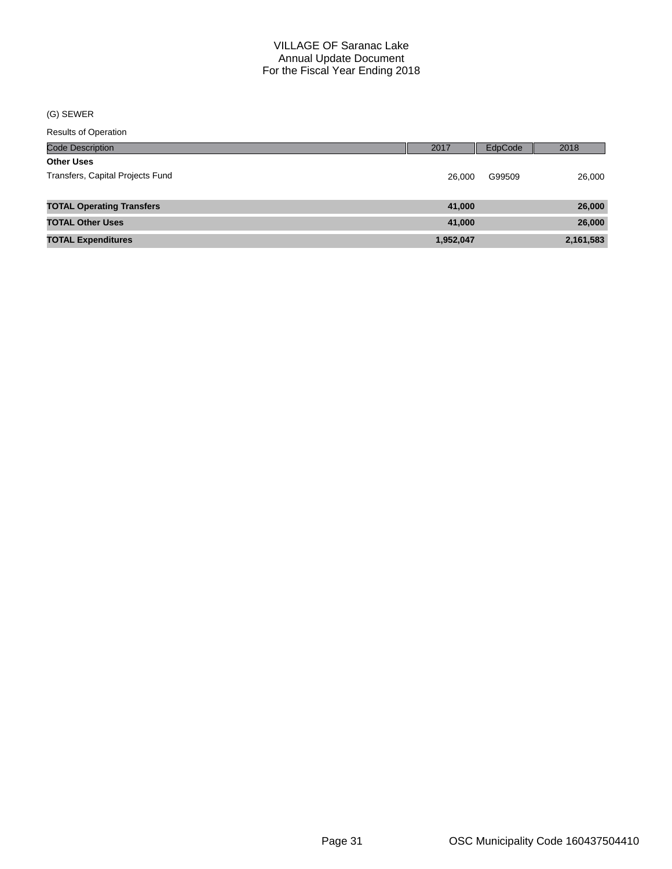(G) SEWER

| <b>Code Description</b>          | 2017      | EdpCode | 2018      |
|----------------------------------|-----------|---------|-----------|
| <b>Other Uses</b>                |           |         |           |
| Transfers, Capital Projects Fund | 26,000    | G99509  | 26,000    |
|                                  |           |         |           |
| <b>TOTAL Operating Transfers</b> | 41,000    |         | 26,000    |
| <b>TOTAL Other Uses</b>          | 41,000    |         | 26,000    |
| <b>TOTAL Expenditures</b>        | 1,952,047 |         | 2,161,583 |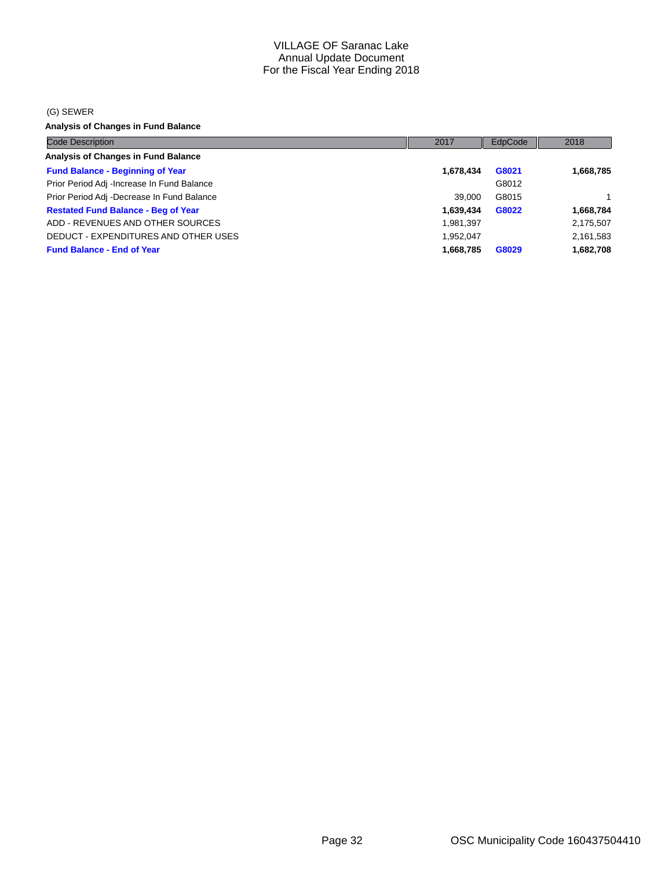#### (G) SEWER

**Analysis of Changes in Fund Balance**

| <b>Code Description</b>                     | 2017      | EdpCode | 2018      |
|---------------------------------------------|-----------|---------|-----------|
| <b>Analysis of Changes in Fund Balance</b>  |           |         |           |
| <b>Fund Balance - Beginning of Year</b>     | 1,678,434 | G8021   | 1,668,785 |
| Prior Period Adj - Increase In Fund Balance |           | G8012   |           |
| Prior Period Adj -Decrease In Fund Balance  | 39.000    | G8015   |           |
| <b>Restated Fund Balance - Beg of Year</b>  | 1,639,434 | G8022   | 1,668,784 |
| ADD - REVENUES AND OTHER SOURCES            | 1,981,397 |         | 2,175,507 |
| DEDUCT - EXPENDITURES AND OTHER USES        | 1.952.047 |         | 2,161,583 |
| <b>Fund Balance - End of Year</b>           | 1,668,785 | G8029   | 1,682,708 |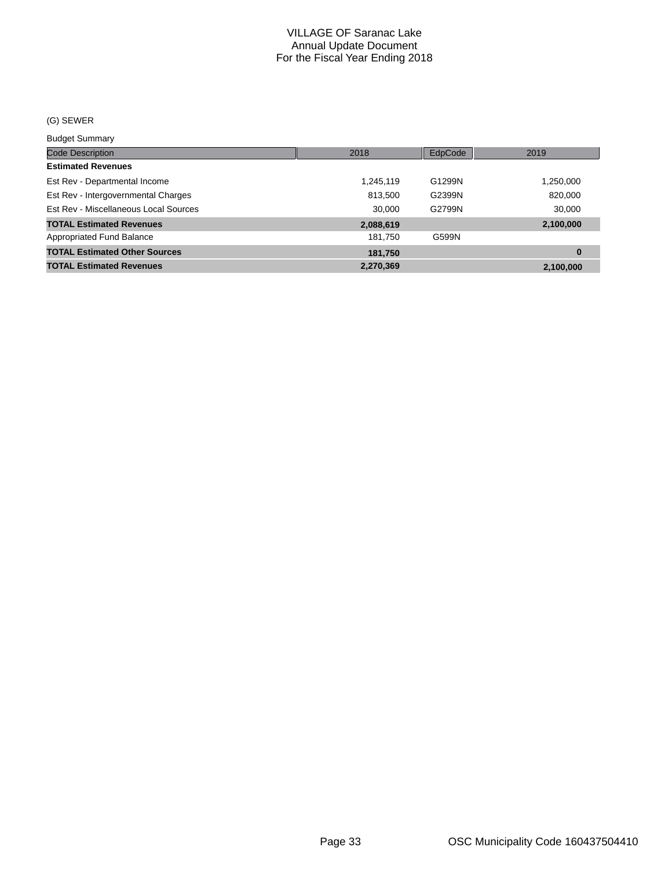#### (G) SEWER

#### Budget Summary

| <b>Code Description</b>               | 2018      | EdpCode | 2019      |
|---------------------------------------|-----------|---------|-----------|
| <b>Estimated Revenues</b>             |           |         |           |
| Est Rev - Departmental Income         | 1,245,119 | G1299N  | 1,250,000 |
| Est Rev - Intergovernmental Charges   | 813,500   | G2399N  | 820,000   |
| Est Rev - Miscellaneous Local Sources | 30.000    | G2799N  | 30,000    |
| <b>TOTAL Estimated Revenues</b>       | 2,088,619 |         | 2,100,000 |
| <b>Appropriated Fund Balance</b>      | 181.750   | G599N   |           |
| <b>TOTAL Estimated Other Sources</b>  | 181,750   |         | $\bf{0}$  |
| <b>TOTAL Estimated Revenues</b>       | 2,270,369 |         | 2.100.000 |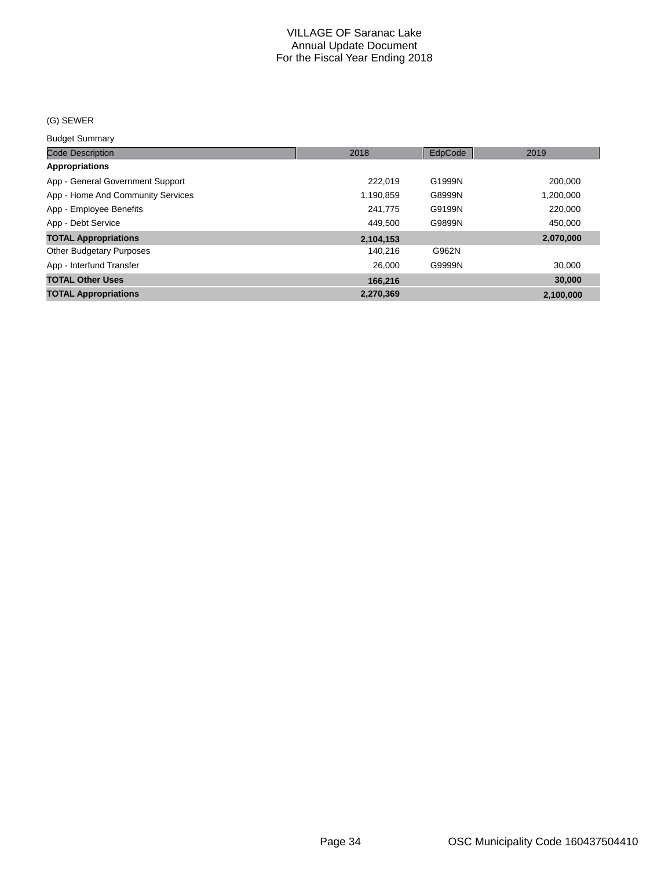#### (G) SEWER

Budget Summary

| <b>Code Description</b>           | 2018      | EdpCode | 2019      |
|-----------------------------------|-----------|---------|-----------|
| Appropriations                    |           |         |           |
| App - General Government Support  | 222.019   | G1999N  | 200,000   |
| App - Home And Community Services | 1,190,859 | G8999N  | 1,200,000 |
| App - Employee Benefits           | 241.775   | G9199N  | 220,000   |
| App - Debt Service                | 449.500   | G9899N  | 450.000   |
| <b>TOTAL Appropriations</b>       | 2,104,153 |         | 2,070,000 |
| <b>Other Budgetary Purposes</b>   | 140.216   | G962N   |           |
| App - Interfund Transfer          | 26,000    | G9999N  | 30.000    |
| <b>TOTAL Other Uses</b>           | 166.216   |         | 30,000    |
| <b>TOTAL Appropriations</b>       | 2.270.369 |         | 2,100,000 |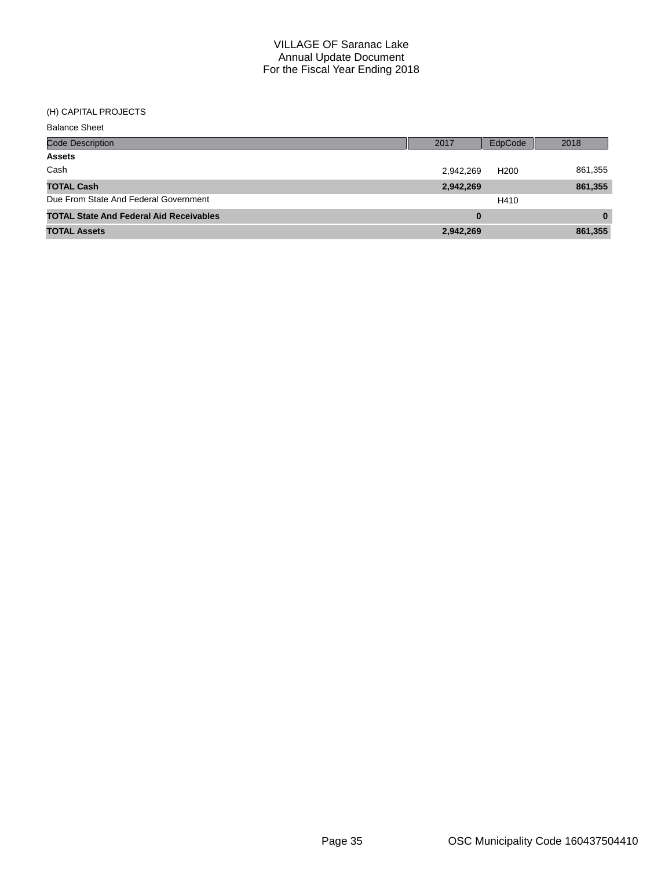#### (H) CAPITAL PROJECTS

| <b>Balance Sheet</b>                           |           |                  |          |
|------------------------------------------------|-----------|------------------|----------|
| Code Description                               | 2017      | EdpCode          | 2018     |
| <b>Assets</b>                                  |           |                  |          |
| Cash                                           | 2,942,269 | H <sub>200</sub> | 861,355  |
| <b>TOTAL Cash</b>                              | 2,942,269 |                  | 861,355  |
| Due From State And Federal Government          |           | H410             |          |
| <b>TOTAL State And Federal Aid Receivables</b> | 0         |                  | $\bf{0}$ |
| <b>TOTAL Assets</b>                            | 2,942,269 |                  | 861,355  |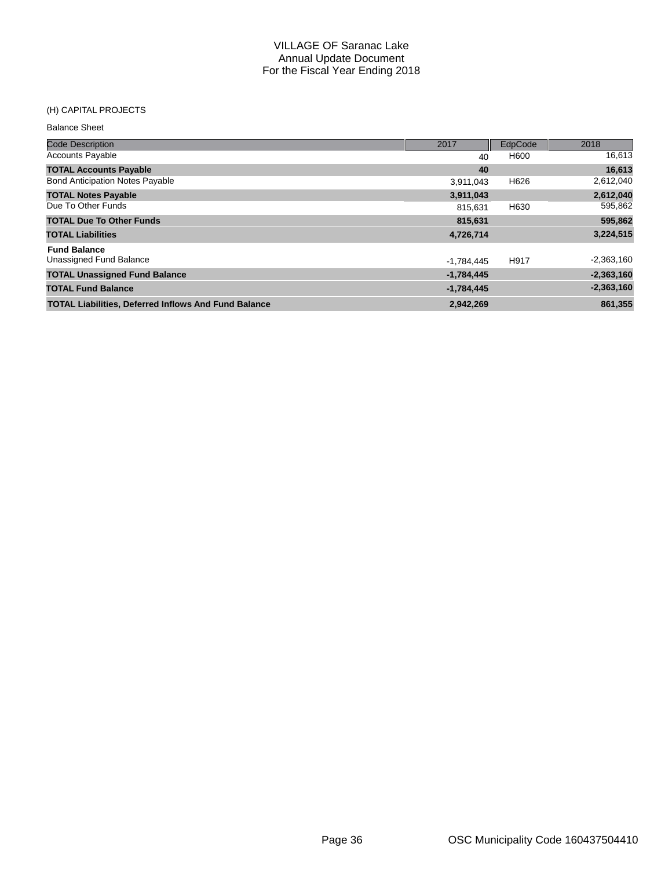#### (H) CAPITAL PROJECTS

| <b>Balance Sheet</b>                                        |              |         |              |
|-------------------------------------------------------------|--------------|---------|--------------|
| <b>Code Description</b>                                     | 2017         | EdpCode | 2018         |
| <b>Accounts Payable</b>                                     | 40           | H600    | 16,613       |
| <b>TOTAL Accounts Payable</b>                               | 40           |         | 16,613       |
| <b>Bond Anticipation Notes Payable</b>                      | 3,911,043    | H626    | 2,612,040    |
| <b>TOTAL Notes Payable</b>                                  | 3,911,043    |         | 2,612,040    |
| Due To Other Funds                                          | 815.631      | H630    | 595,862      |
| <b>TOTAL Due To Other Funds</b>                             | 815,631      |         | 595,862      |
| <b>TOTAL Liabilities</b>                                    | 4,726,714    |         | 3,224,515    |
| <b>Fund Balance</b>                                         |              |         |              |
| Unassigned Fund Balance                                     | $-1,784,445$ | H917    | $-2,363,160$ |
| <b>TOTAL Unassigned Fund Balance</b>                        | $-1,784,445$ |         | $-2,363,160$ |
| <b>TOTAL Fund Balance</b>                                   | $-1,784,445$ |         | $-2,363,160$ |
| <b>TOTAL Liabilities, Deferred Inflows And Fund Balance</b> | 2.942.269    |         | 861,355      |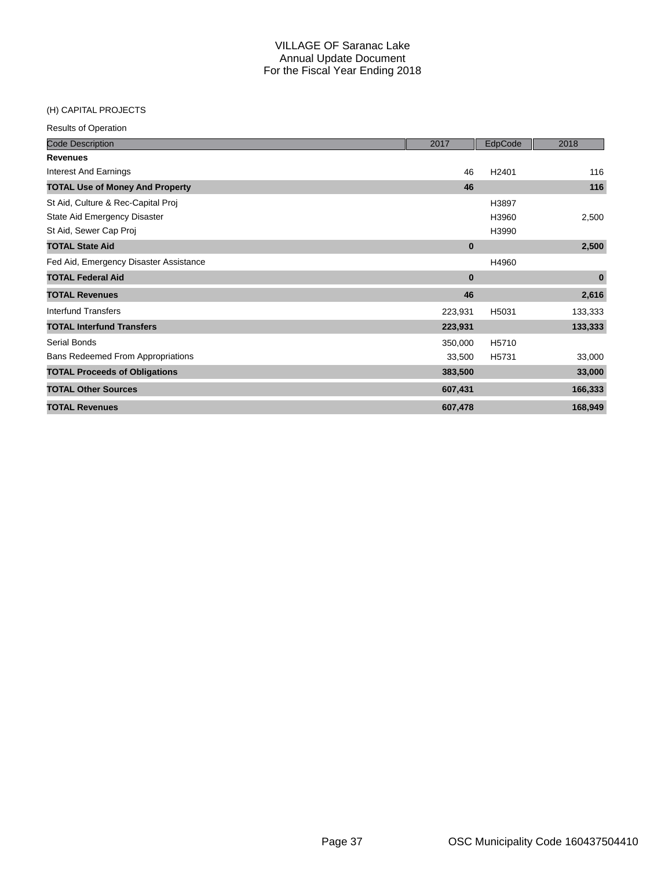### (H) CAPITAL PROJECTS

| <b>Code Description</b>                  | 2017     | EdpCode           | 2018     |
|------------------------------------------|----------|-------------------|----------|
| <b>Revenues</b>                          |          |                   |          |
| <b>Interest And Earnings</b>             | 46       | H <sub>2401</sub> | 116      |
| <b>TOTAL Use of Money And Property</b>   | 46       |                   | 116      |
| St Aid, Culture & Rec-Capital Proj       |          | H3897             |          |
| State Aid Emergency Disaster             |          | H3960             | 2,500    |
| St Aid, Sewer Cap Proj                   |          | H3990             |          |
| <b>TOTAL State Aid</b>                   | $\bf{0}$ |                   | 2,500    |
| Fed Aid, Emergency Disaster Assistance   |          | H4960             |          |
| <b>TOTAL Federal Aid</b>                 | $\bf{0}$ |                   | $\bf{0}$ |
| <b>TOTAL Revenues</b>                    | 46       |                   | 2,616    |
| Interfund Transfers                      | 223,931  | H5031             | 133,333  |
| <b>TOTAL Interfund Transfers</b>         | 223,931  |                   | 133,333  |
| Serial Bonds                             | 350,000  | H5710             |          |
| <b>Bans Redeemed From Appropriations</b> | 33,500   | H5731             | 33,000   |
| <b>TOTAL Proceeds of Obligations</b>     | 383,500  |                   | 33,000   |
| <b>TOTAL Other Sources</b>               | 607,431  |                   | 166,333  |
| <b>TOTAL Revenues</b>                    | 607,478  |                   | 168,949  |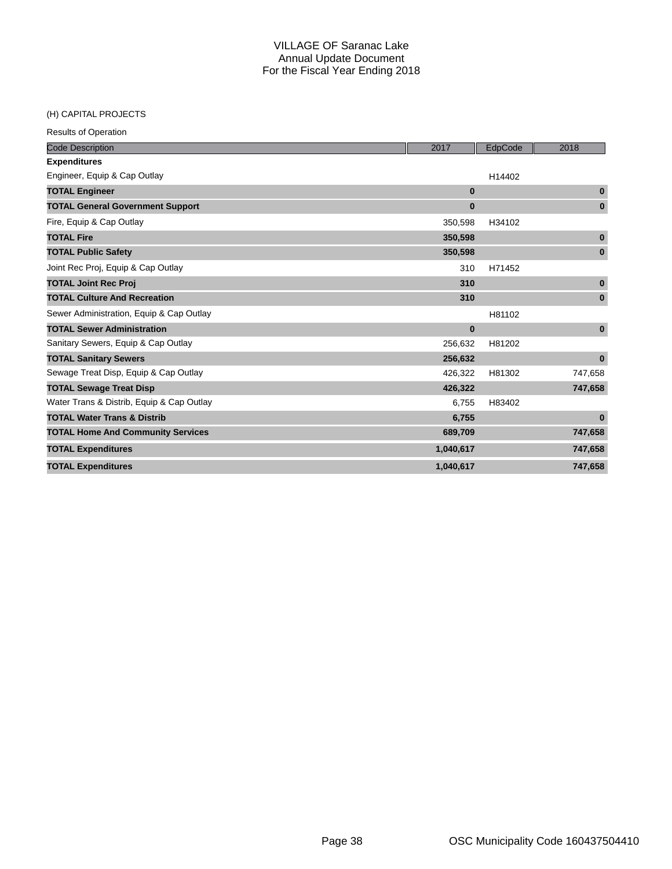## (H) CAPITAL PROJECTS

| <b>Code Description</b>                   | 2017      | EdpCode | 2018         |
|-------------------------------------------|-----------|---------|--------------|
| <b>Expenditures</b>                       |           |         |              |
| Engineer, Equip & Cap Outlay              |           | H14402  |              |
| <b>TOTAL Engineer</b>                     | $\bf{0}$  |         | $\bf{0}$     |
| <b>TOTAL General Government Support</b>   | $\bf{0}$  |         | $\bf{0}$     |
| Fire, Equip & Cap Outlay                  | 350,598   | H34102  |              |
| <b>TOTAL Fire</b>                         | 350,598   |         | $\pmb{0}$    |
| <b>TOTAL Public Safety</b>                | 350,598   |         | $\bf{0}$     |
| Joint Rec Proj, Equip & Cap Outlay        | 310       | H71452  |              |
| <b>TOTAL Joint Rec Proj</b>               | 310       |         | $\mathbf{0}$ |
| <b>TOTAL Culture And Recreation</b>       | 310       |         | $\bf{0}$     |
| Sewer Administration, Equip & Cap Outlay  |           | H81102  |              |
| <b>TOTAL Sewer Administration</b>         | $\bf{0}$  |         | $\bf{0}$     |
| Sanitary Sewers, Equip & Cap Outlay       | 256,632   | H81202  |              |
| <b>TOTAL Sanitary Sewers</b>              | 256,632   |         | $\bf{0}$     |
| Sewage Treat Disp, Equip & Cap Outlay     | 426,322   | H81302  | 747,658      |
| <b>TOTAL Sewage Treat Disp</b>            | 426,322   |         | 747,658      |
| Water Trans & Distrib, Equip & Cap Outlay | 6,755     | H83402  |              |
| <b>TOTAL Water Trans &amp; Distrib</b>    | 6,755     |         | $\bf{0}$     |
| <b>TOTAL Home And Community Services</b>  | 689,709   |         | 747,658      |
| <b>TOTAL Expenditures</b>                 | 1,040,617 |         | 747,658      |
| <b>TOTAL Expenditures</b>                 | 1,040,617 |         | 747,658      |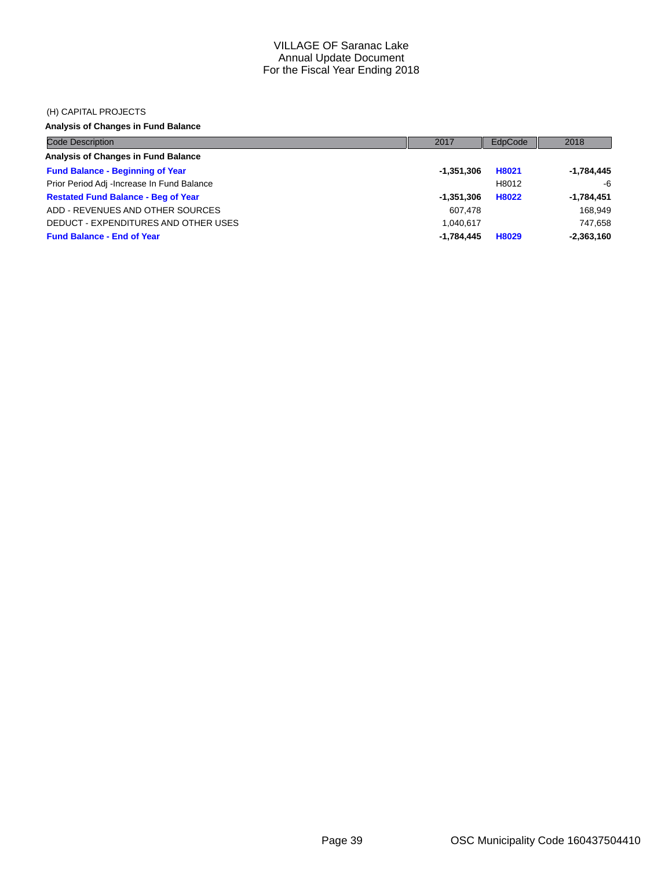#### (H) CAPITAL PROJECTS

## **Analysis of Changes in Fund Balance**

| <b>Code Description</b>                    | 2017         | EdpCode | 2018         |
|--------------------------------------------|--------------|---------|--------------|
| Analysis of Changes in Fund Balance        |              |         |              |
| <b>Fund Balance - Beginning of Year</b>    | -1,351,306   | H8021   | $-1,784,445$ |
| Prior Period Adj -Increase In Fund Balance |              | H8012   | -6           |
| <b>Restated Fund Balance - Beg of Year</b> | -1,351,306   | H8022   | $-1,784,451$ |
| ADD - REVENUES AND OTHER SOURCES           | 607.478      |         | 168,949      |
| DEDUCT - EXPENDITURES AND OTHER USES       | 1.040.617    |         | 747,658      |
| <b>Fund Balance - End of Year</b>          | $-1.784.445$ | H8029   | $-2,363,160$ |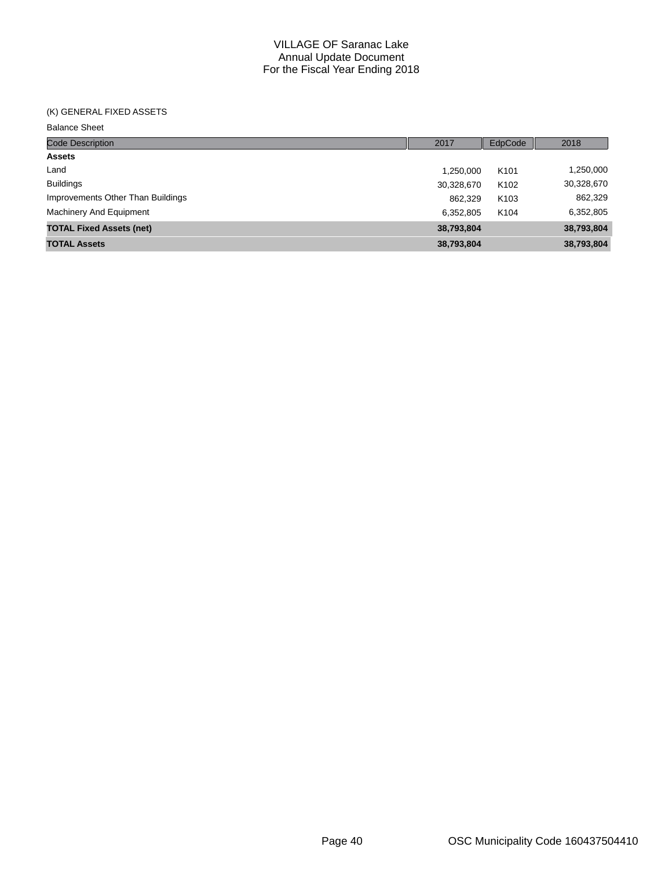### (K) GENERAL FIXED ASSETS

Balance Sheet

| Code Description                  | 2017       | EdpCode          | 2018       |
|-----------------------------------|------------|------------------|------------|
| <b>Assets</b>                     |            |                  |            |
| Land                              | 1,250,000  | K <sub>101</sub> | 1,250,000  |
| <b>Buildings</b>                  | 30,328,670 | K <sub>102</sub> | 30,328,670 |
| Improvements Other Than Buildings | 862,329    | K <sub>103</sub> | 862,329    |
| <b>Machinery And Equipment</b>    | 6.352.805  | K <sub>104</sub> | 6,352,805  |
| <b>TOTAL Fixed Assets (net)</b>   | 38,793,804 |                  | 38,793,804 |
| <b>TOTAL Assets</b>               | 38,793,804 |                  | 38,793,804 |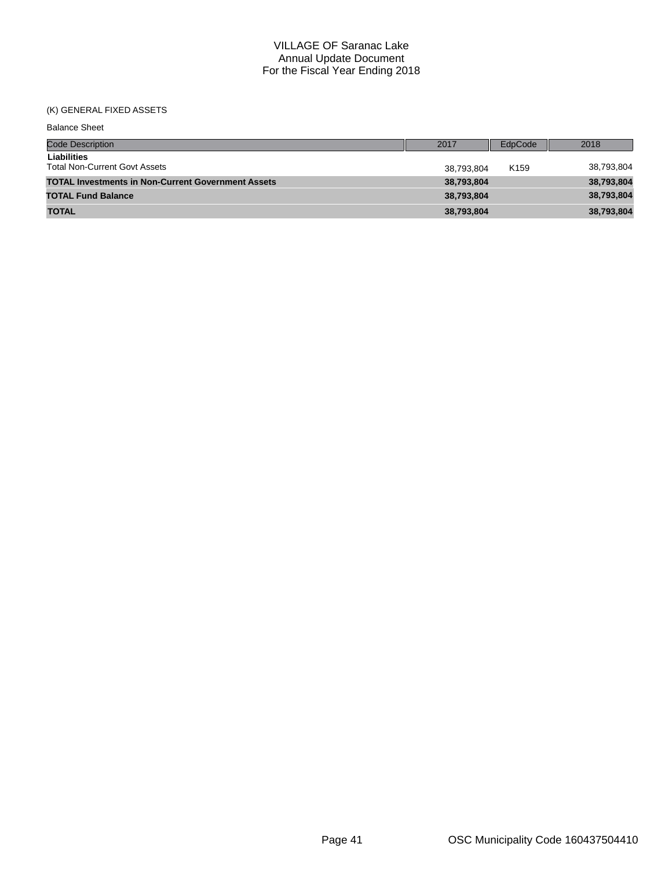## (K) GENERAL FIXED ASSETS

| <b>Balance Sheet</b>                                       |            |                  |            |
|------------------------------------------------------------|------------|------------------|------------|
| <b>Code Description</b>                                    | 2017       | EdpCode          | 2018       |
| <b>Liabilities</b><br><b>Total Non-Current Govt Assets</b> | 38,793,804 | K <sub>159</sub> | 38,793,804 |
| <b>TOTAL Investments in Non-Current Government Assets</b>  | 38,793,804 |                  | 38,793,804 |
| <b>TOTAL Fund Balance</b>                                  | 38,793,804 |                  | 38,793,804 |
| <b>TOTAL</b>                                               | 38,793,804 |                  | 38,793,804 |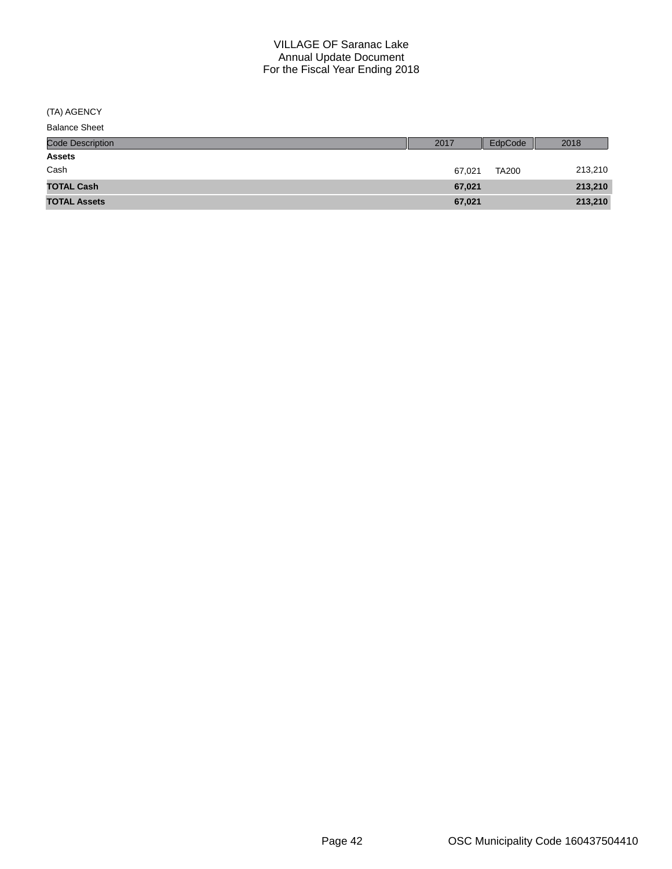(TA) AGENCY

| <b>Balance Sheet</b>    |        |              |         |
|-------------------------|--------|--------------|---------|
| <b>Code Description</b> | 2017   | EdpCode      | 2018    |
| <b>Assets</b>           |        |              |         |
| Cash                    | 67.021 | <b>TA200</b> | 213,210 |
| <b>TOTAL Cash</b>       | 67,021 |              | 213,210 |
| <b>TOTAL Assets</b>     | 67,021 |              | 213,210 |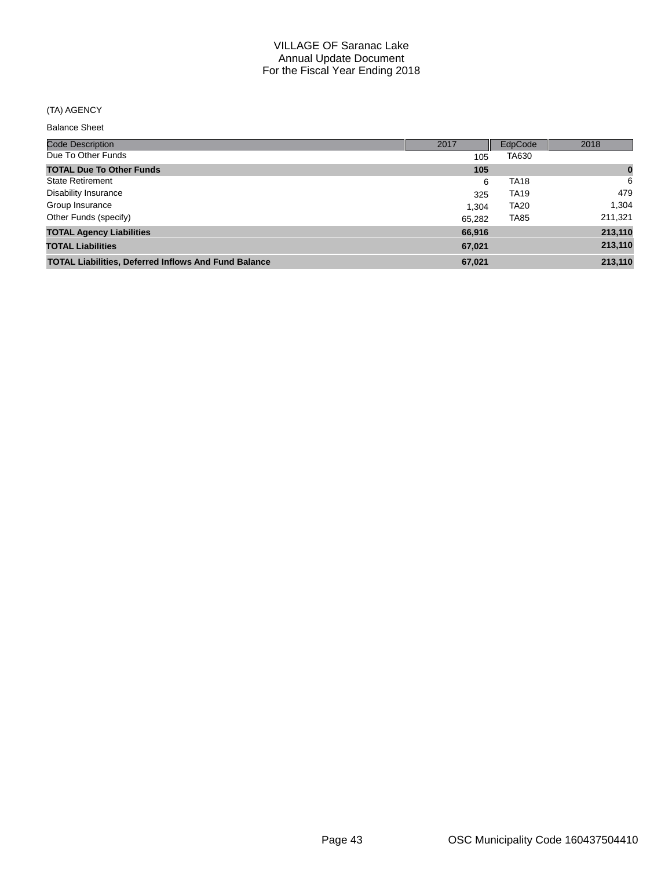## (TA) AGENCY

Balance Sheet

| <b>Code Description</b>                                     | 2017   | EdpCode     | 2018     |
|-------------------------------------------------------------|--------|-------------|----------|
| Due To Other Funds                                          | 105    | TA630       |          |
| <b>TOTAL Due To Other Funds</b>                             | 105    |             | $\bf{0}$ |
| <b>State Retirement</b>                                     | 6      | <b>TA18</b> | 6        |
| <b>Disability Insurance</b>                                 | 325    | <b>TA19</b> | 479      |
| Group Insurance                                             | 1.304  | <b>TA20</b> | 1,304    |
| Other Funds (specify)                                       | 65.282 | <b>TA85</b> | 211,321  |
| <b>TOTAL Agency Liabilities</b>                             | 66,916 |             | 213,110  |
| <b>TOTAL Liabilities</b>                                    | 67,021 |             | 213,110  |
| <b>TOTAL Liabilities, Deferred Inflows And Fund Balance</b> | 67,021 |             | 213,110  |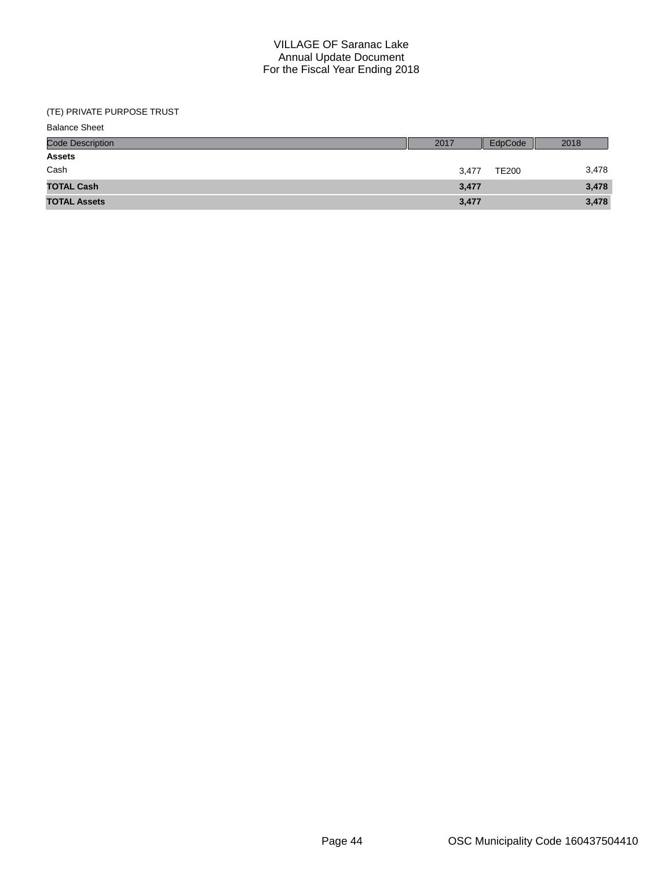| <b>Balance Sheet</b>    |       |              |       |
|-------------------------|-------|--------------|-------|
| <b>Code Description</b> | 2017  | EdpCode      | 2018  |
| <b>Assets</b>           |       |              |       |
| Cash                    | 3,477 | <b>TE200</b> | 3,478 |
| <b>TOTAL Cash</b>       | 3,477 |              | 3,478 |
| <b>TOTAL Assets</b>     | 3,477 |              | 3,478 |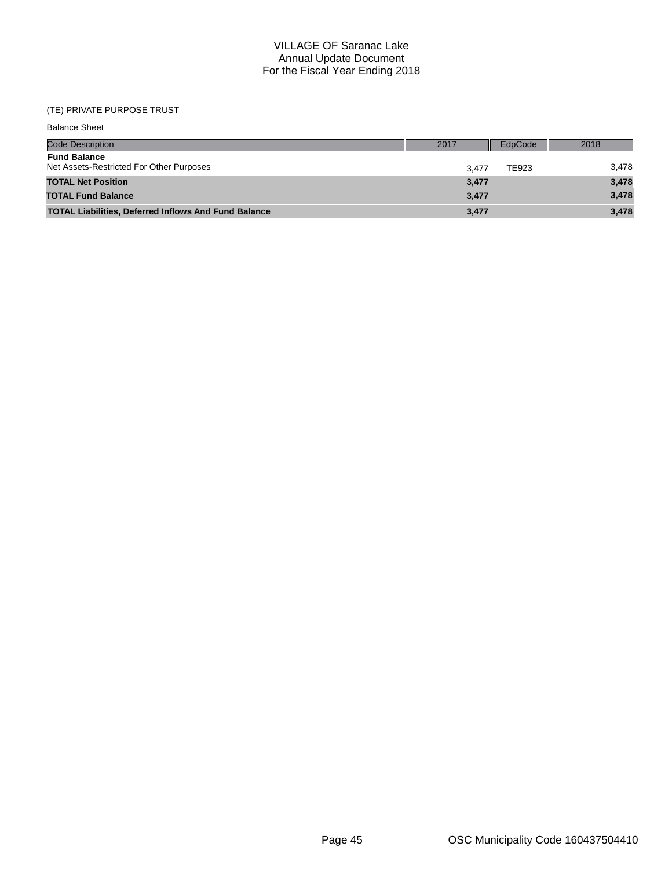| <b>Balance Sheet</b>                                            |       |         |       |
|-----------------------------------------------------------------|-------|---------|-------|
| <b>Code Description</b>                                         | 2017  | EdpCode | 2018  |
| <b>Fund Balance</b><br>Net Assets-Restricted For Other Purposes | 3.477 | TE923   | 3,478 |
| <b>TOTAL Net Position</b>                                       | 3,477 |         | 3,478 |
| <b>TOTAL Fund Balance</b>                                       | 3,477 |         | 3,478 |
| <b>TOTAL Liabilities, Deferred Inflows And Fund Balance</b>     | 3,477 |         | 3,478 |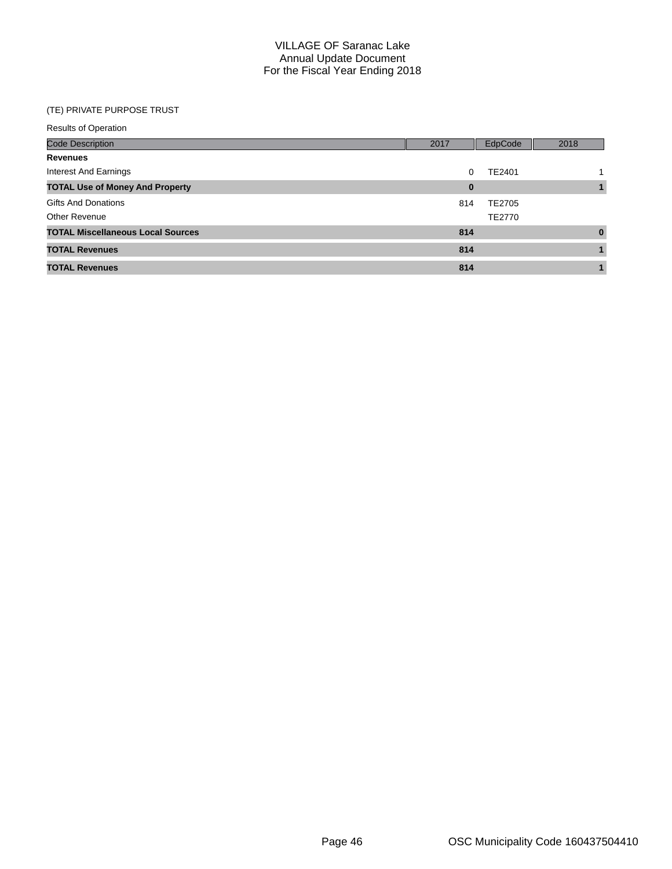| <b>Results of Operation</b>              |          |         |          |
|------------------------------------------|----------|---------|----------|
| <b>Code Description</b>                  | 2017     | EdpCode | 2018     |
| <b>Revenues</b>                          |          |         |          |
| Interest And Earnings                    | 0        | TE2401  |          |
| <b>TOTAL Use of Money And Property</b>   | $\bf{0}$ |         |          |
| <b>Gifts And Donations</b>               | 814      | TE2705  |          |
| <b>Other Revenue</b>                     |          | TE2770  |          |
| <b>TOTAL Miscellaneous Local Sources</b> | 814      |         | $\bf{0}$ |
| <b>TOTAL Revenues</b>                    | 814      |         |          |
| <b>TOTAL Revenues</b>                    | 814      |         |          |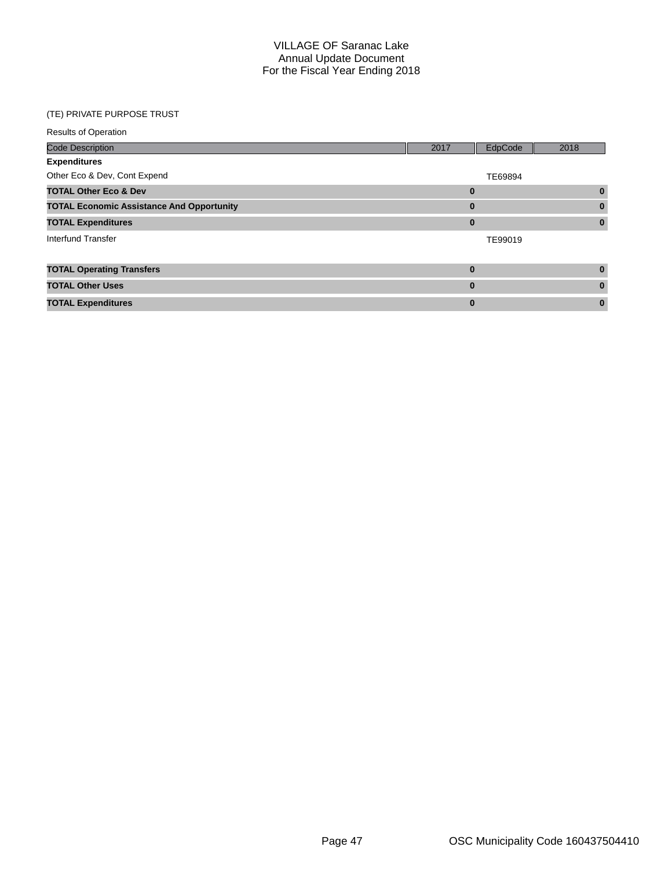| <b>Results of Operation</b>                      |          |         |          |
|--------------------------------------------------|----------|---------|----------|
| <b>Code Description</b>                          | 2017     | EdpCode | 2018     |
| <b>Expenditures</b>                              |          |         |          |
| Other Eco & Dev, Cont Expend                     |          | TE69894 |          |
| <b>TOTAL Other Eco &amp; Dev</b>                 | $\bf{0}$ |         | $\bf{0}$ |
| <b>TOTAL Economic Assistance And Opportunity</b> | $\bf{0}$ |         | $\bf{0}$ |
| <b>TOTAL Expenditures</b>                        | $\bf{0}$ |         | $\bf{0}$ |
| Interfund Transfer                               |          | TE99019 |          |
|                                                  |          |         |          |
| <b>TOTAL Operating Transfers</b>                 | $\bf{0}$ |         | $\bf{0}$ |
| <b>TOTAL Other Uses</b>                          | $\bf{0}$ |         | $\bf{0}$ |
| <b>TOTAL Expenditures</b>                        | $\bf{0}$ |         | $\bf{0}$ |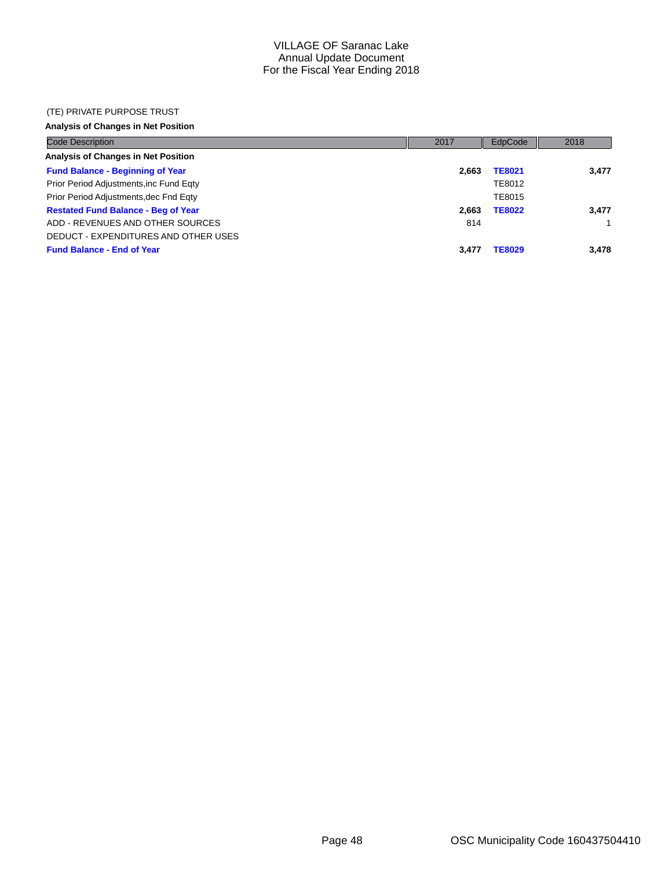#### (TE) PRIVATE PURPOSE TRUST

## **Analysis of Changes in Net Position**

| <b>Code Description</b>                    | 2017  | EdpCode       | 2018         |
|--------------------------------------------|-------|---------------|--------------|
| Analysis of Changes in Net Position        |       |               |              |
| <b>Fund Balance - Beginning of Year</b>    | 2.663 | <b>TE8021</b> | 3.477        |
| Prior Period Adjustments, inc Fund Eqty    |       | TE8012        |              |
| Prior Period Adjustments, dec Fnd Eqty     |       | TE8015        |              |
| <b>Restated Fund Balance - Beg of Year</b> | 2.663 | <b>TE8022</b> | 3,477        |
| ADD - REVENUES AND OTHER SOURCES           | 814   |               | $\mathbf{1}$ |
| DEDUCT - EXPENDITURES AND OTHER USES       |       |               |              |
| <b>Fund Balance - End of Year</b>          | 3.477 | <b>TE8029</b> | 3,478        |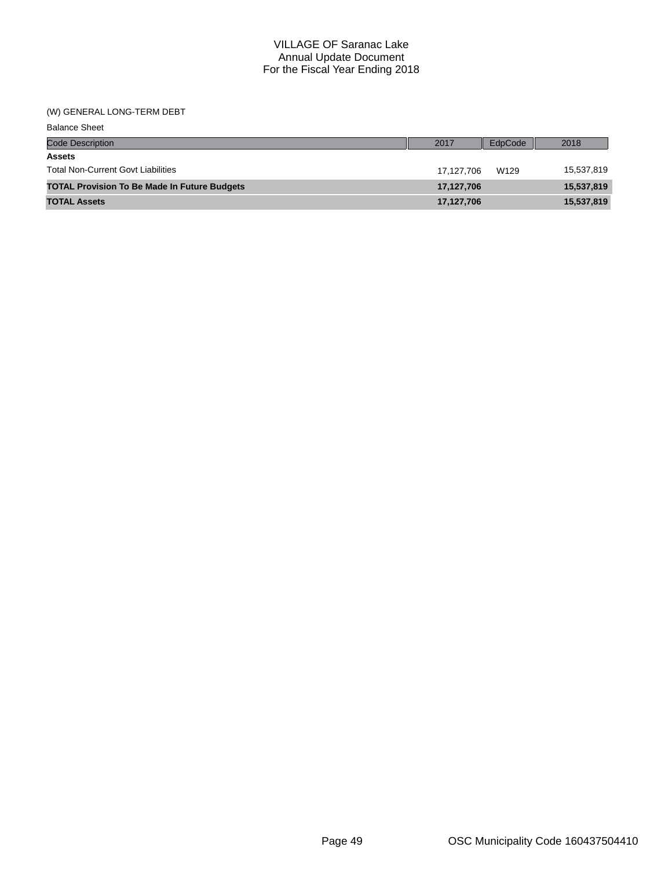#### (W) GENERAL LONG-TERM DEBT

| <b>Balance Sheet</b>                                |            |         |            |
|-----------------------------------------------------|------------|---------|------------|
| <b>Code Description</b>                             | 2017       | EdpCode | 2018       |
| <b>Assets</b>                                       |            |         |            |
| <b>Total Non-Current Govt Liabilities</b>           | 17.127.706 | W129    | 15,537,819 |
| <b>TOTAL Provision To Be Made In Future Budgets</b> | 17,127,706 |         | 15,537,819 |
| <b>TOTAL Assets</b>                                 | 17,127,706 |         | 15,537,819 |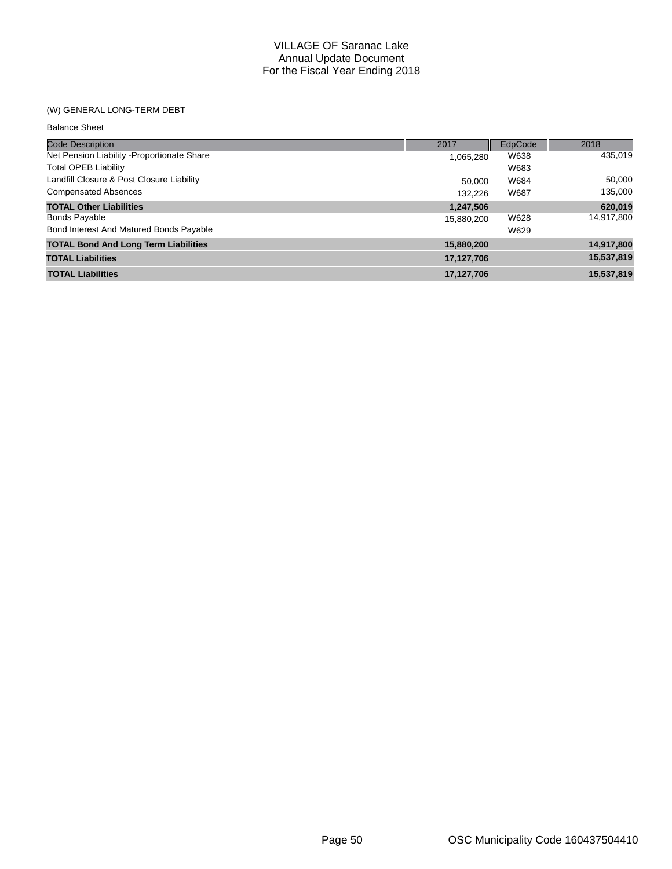## (W) GENERAL LONG-TERM DEBT

| <b>Balance Sheet</b>                        |            |         |            |
|---------------------------------------------|------------|---------|------------|
| <b>Code Description</b>                     | 2017       | EdpCode | 2018       |
| Net Pension Liability - Proportionate Share | 1,065,280  | W638    | 435,019    |
| <b>Total OPEB Liability</b>                 |            | W683    |            |
| Landfill Closure & Post Closure Liability   | 50,000     | W684    | 50,000     |
| <b>Compensated Absences</b>                 | 132.226    | W687    | 135,000    |
| <b>TOTAL Other Liabilities</b>              | 1,247,506  |         | 620,019    |
| <b>Bonds Payable</b>                        | 15,880,200 | W628    | 14,917,800 |
| Bond Interest And Matured Bonds Payable     |            | W629    |            |
| <b>TOTAL Bond And Long Term Liabilities</b> | 15,880,200 |         | 14,917,800 |
| <b>TOTAL Liabilities</b>                    | 17,127,706 |         | 15,537,819 |
| <b>TOTAL Liabilities</b>                    | 17.127.706 |         | 15.537.819 |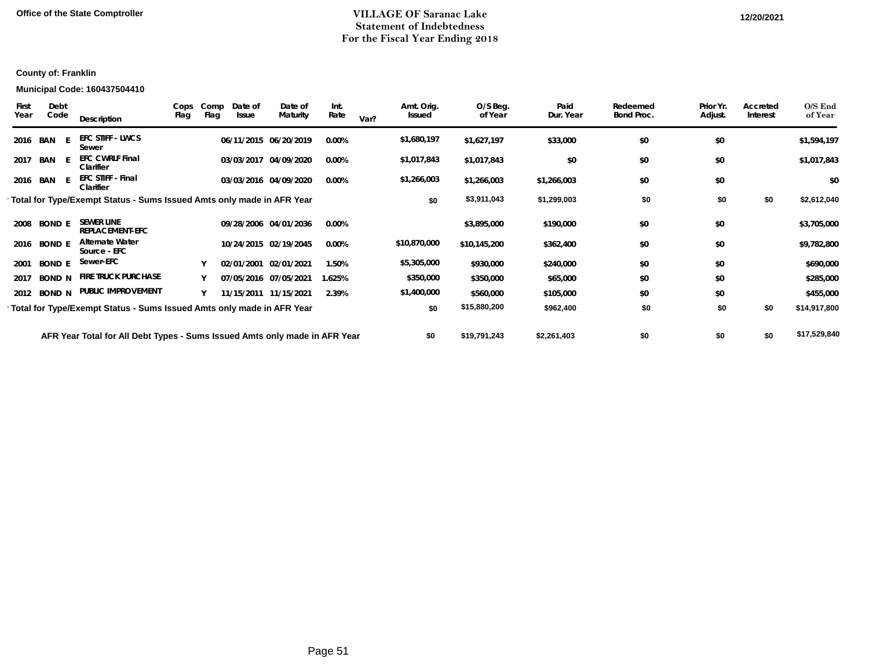## **Office of the State Comptroller VILLAGE OF Saranac Lake 12/20/2021Statement of Indebtedness For the Fiscal Year Ending 2018**

## **County of: Franklin**

#### **Municipal Code: 160437504410**

| First<br>Year | Debt<br>Code  | Description                                                                | Cops<br>Flag | Comp<br>Flag | Date of<br>Issue | Date of<br>Maturity   | Int.<br>Rate | Var? | Amt. Orig.<br>Issued | O/S Beg.<br>of Year | Paid<br>Dur. Year | Redeemed<br>Bond Proc. | Prior Yr.<br>Adjust. | Accreted<br>Interest | $O/S$ End<br>of Year |
|---------------|---------------|----------------------------------------------------------------------------|--------------|--------------|------------------|-----------------------|--------------|------|----------------------|---------------------|-------------------|------------------------|----------------------|----------------------|----------------------|
| 2016          | BAN           | <b>EFC STIFF - LWCS</b><br>Sewer                                           |              |              |                  | 06/11/2015 06/20/2019 | 0.00%        |      | \$1,680,197          | \$1,627,197         | \$33,000          | \$0                    | \$0                  |                      | \$1,594,197          |
| 2017          | BAN           | <b>EFC CWRLF Final</b><br>Clarifier                                        |              |              |                  | 03/03/2017 04/09/2020 | $0.00\%$     |      | \$1,017,843          | \$1,017,843         | \$0               | \$0                    | \$0                  |                      | \$1,017,843          |
|               | 2016 BAN      | <b>EFC STIFF - Final</b><br>Clarifier                                      |              |              |                  | 03/03/2016 04/09/2020 | 0.00%        |      | \$1,266,003          | \$1,266,003         | \$1,266,003       | \$0                    | \$0                  |                      | \$0                  |
|               |               | Total for Type/Exempt Status - Sums Issued Amts only made in AFR Year      |              |              |                  |                       |              |      | \$0                  | \$3,911,043         | \$1,299,003       | \$0                    | \$0                  | \$0                  | \$2,612,040          |
| 2008          | <b>BOND E</b> | <b>SEWER LINE</b><br><b>REPLACEMENT-EFC</b>                                |              |              |                  | 09/28/2006 04/01/2036 | $0.00\%$     |      |                      | \$3,895,000         | \$190,000         | \$0                    | \$0                  |                      | \$3,705,000          |
| 2016          | <b>BOND E</b> | <b>Alternate Water</b><br>Source - EFC                                     |              |              |                  | 10/24/2015 02/19/2045 | 0.00%        |      | \$10,870,000         | \$10,145,200        | \$362,400         | \$0                    | \$0                  |                      | \$9,782,800          |
| 2001          | <b>BOND E</b> | Sewer-EFC                                                                  |              |              |                  | 02/01/2001 02/01/2021 | 1.50%        |      | \$5,305,000          | \$930,000           | \$240,000         | \$0                    | \$0                  |                      | \$690,000            |
| 2017          | <b>BOND N</b> | <b>FIRE TRUCK PURCHASE</b>                                                 |              |              |                  | 07/05/2016 07/05/2021 | 1.625%       |      | \$350,000            | \$350,000           | \$65,000          | \$0                    | \$0                  |                      | \$285,000            |
| 2012          | <b>BOND N</b> | PUBLIC IMPROVEMENT                                                         |              |              |                  | 11/15/2011 11/15/2021 | 2.39%        |      | \$1,400,000          | \$560,000           | \$105,000         | \$0                    | \$0                  |                      | \$455,000            |
|               |               | Total for Type/Exempt Status - Sums Issued Amts only made in AFR Year      |              |              |                  |                       |              |      | \$0                  | \$15,880,200        | \$962,400         | \$0                    | \$0                  | \$0                  | \$14,917,800         |
|               |               | AFR Year Total for All Debt Types - Sums Issued Amts only made in AFR Year |              |              |                  |                       |              |      | \$0                  | \$19,791,243        | \$2,261,403       | \$0                    | \$0                  | \$0                  | \$17,529,840         |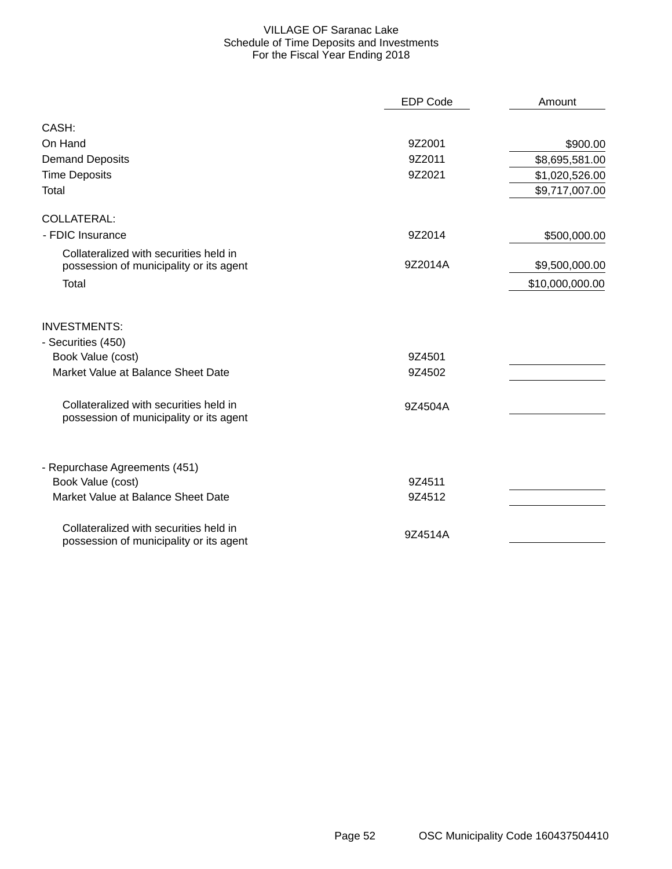## VILLAGE OF Saranac Lake Schedule of Time Deposits and Investments For the Fiscal Year Ending 2018

|                                                                                   | <b>EDP Code</b> | Amount          |
|-----------------------------------------------------------------------------------|-----------------|-----------------|
| CASH:                                                                             |                 |                 |
| On Hand                                                                           | 9Z2001          | \$900.00        |
| <b>Demand Deposits</b>                                                            | 9Z2011          | \$8,695,581.00  |
| <b>Time Deposits</b>                                                              | 9Z2021          | \$1,020,526.00  |
| Total                                                                             |                 | \$9,717,007.00  |
| <b>COLLATERAL:</b>                                                                |                 |                 |
| - FDIC Insurance                                                                  | 9Z2014          | \$500,000.00    |
| Collateralized with securities held in<br>possession of municipality or its agent | 9Z2014A         | \$9,500,000.00  |
| Total                                                                             |                 | \$10,000,000.00 |
| <b>INVESTMENTS:</b>                                                               |                 |                 |
| - Securities (450)                                                                |                 |                 |
| Book Value (cost)                                                                 | 9Z4501          |                 |
| Market Value at Balance Sheet Date                                                | 9Z4502          |                 |
| Collateralized with securities held in<br>possession of municipality or its agent | 9Z4504A         |                 |
| - Repurchase Agreements (451)                                                     |                 |                 |
| Book Value (cost)                                                                 | 9Z4511          |                 |
| Market Value at Balance Sheet Date                                                | 9Z4512          |                 |
| Collateralized with securities held in<br>possession of municipality or its agent | 9Z4514A         |                 |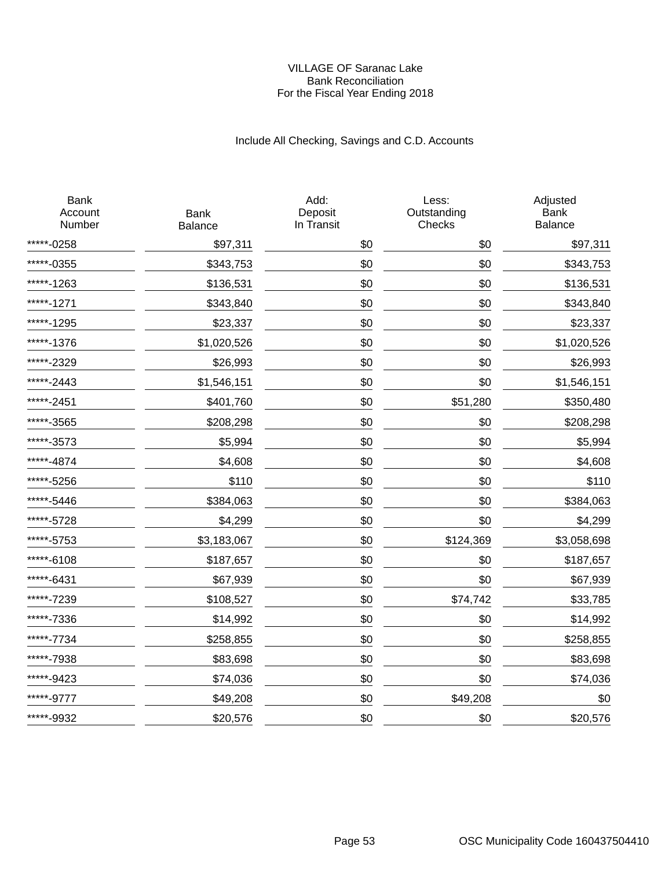### VILLAGE OF Saranac Lake Bank Reconciliation For the Fiscal Year Ending 2018

# Include All Checking, Savings and C.D. Accounts

| <b>Bank</b><br>Account<br>Number | <b>Bank</b><br><b>Balance</b> | Add:<br>Deposit<br>In Transit | Less:<br>Outstanding<br>Checks | Adjusted<br><b>Bank</b><br><b>Balance</b> |
|----------------------------------|-------------------------------|-------------------------------|--------------------------------|-------------------------------------------|
| *****-0258                       | \$97,311                      | \$0                           | \$0                            | \$97,311                                  |
| *****-0355                       | \$343,753                     | \$0                           | \$0                            | \$343,753                                 |
| *****-1263                       | \$136,531                     | \$0                           | \$0                            | \$136,531                                 |
| $***-1271$                       | \$343,840                     | \$0                           | \$0                            | \$343,840                                 |
| ****-1295                        | \$23,337                      | \$0                           | \$0                            | \$23,337                                  |
| ****-1376                        | \$1,020,526                   | \$0                           | \$0                            | \$1,020,526                               |
| *****-2329                       | \$26,993                      | \$0                           | \$0                            | \$26,993                                  |
| ****-2443                        | \$1,546,151                   | \$0                           | \$0                            | \$1,546,151                               |
| ****-2451                        | \$401,760                     | \$0                           | \$51,280                       | \$350,480                                 |
| ***-3565                         | \$208,298                     | \$0                           | \$0                            | \$208,298                                 |
| ****-3573                        | \$5,994                       | \$0                           | \$0                            | \$5,994                                   |
| ****-4874                        | \$4,608                       | \$0                           | \$0                            | \$4,608                                   |
| ****-5256                        | \$110                         | \$0                           | \$0                            | \$110                                     |
| ***-5446                         | \$384,063                     | \$0                           | \$0                            | \$384,063                                 |
| *****-5728                       | \$4,299                       | \$0                           | \$0                            | \$4,299                                   |
| *****-5753                       | \$3,183,067                   | \$0                           | \$124,369                      | \$3,058,698                               |
| $***-6108$                       | \$187,657                     | \$0                           | \$0                            | \$187,657                                 |
| *****-6431                       | \$67,939                      | \$0                           | \$0                            | \$67,939                                  |
| ****-7239                        | \$108,527                     | \$0                           | \$74,742                       | \$33,785                                  |
| *****-7336                       | \$14,992                      | \$0                           | \$0                            | \$14,992                                  |
| ****-7734                        | \$258,855                     | \$0                           | \$0                            | \$258,855                                 |
| ****-7938                        | \$83,698                      | \$0                           | \$0                            | \$83,698                                  |
| ****-9423                        | \$74,036                      | \$0                           | \$0                            | \$74,036                                  |
| *****-9777                       | \$49,208                      | \$0                           | \$49,208                       | \$0                                       |
| *****-9932                       | \$20,576                      | \$0                           | \$0                            | \$20,576                                  |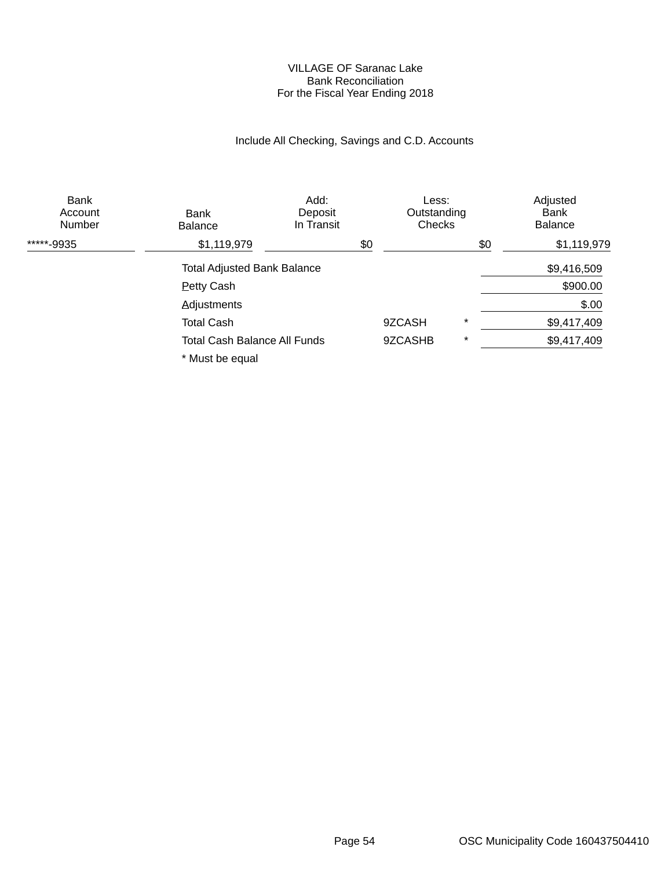### VILLAGE OF Saranac Lake Bank Reconciliation For the Fiscal Year Ending 2018

# Include All Checking, Savings and C.D. Accounts

| <b>Bank</b><br>Account<br><b>Number</b> | Bank<br><b>Balance</b>              | Add:<br>Deposit<br>In Transit | Less:<br>Outstanding<br>Checks |         | Adjusted<br>Bank<br><b>Balance</b> |
|-----------------------------------------|-------------------------------------|-------------------------------|--------------------------------|---------|------------------------------------|
| *****-9935                              | \$1,119,979                         |                               | \$0                            | \$0     | \$1,119,979                        |
|                                         | <b>Total Adjusted Bank Balance</b>  |                               |                                |         | \$9,416,509                        |
|                                         | <b>Petty Cash</b>                   |                               |                                |         | \$900.00                           |
|                                         | <b>Adjustments</b>                  |                               |                                |         | \$.00                              |
|                                         | <b>Total Cash</b>                   |                               | 9ZCASH                         | $\star$ | \$9,417,409                        |
|                                         | <b>Total Cash Balance All Funds</b> |                               | 9ZCASHB                        | $\star$ | \$9,417,409                        |
|                                         | * Must be equal                     |                               |                                |         |                                    |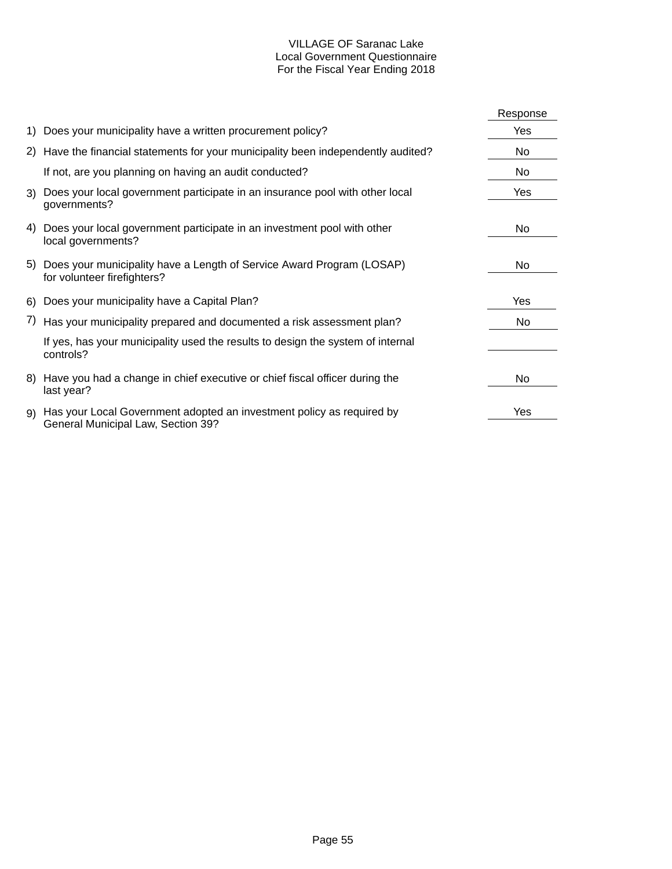## VILLAGE OF Saranac Lake Local Government Questionnaire For the Fiscal Year Ending 2018

|    |                                                                                                             | Response |
|----|-------------------------------------------------------------------------------------------------------------|----------|
|    | 1) Does your municipality have a written procurement policy?                                                | Yes      |
|    | 2) Have the financial statements for your municipality been independently audited?                          | No       |
|    | If not, are you planning on having an audit conducted?                                                      | No       |
|    | 3) Does your local government participate in an insurance pool with other local<br>governments?             | Yes      |
|    | 4) Does your local government participate in an investment pool with other<br>local governments?            | No       |
|    | 5) Does your municipality have a Length of Service Award Program (LOSAP)<br>for volunteer firefighters?     | No       |
|    | 6) Does your municipality have a Capital Plan?                                                              | Yes      |
|    | 7) Has your municipality prepared and documented a risk assessment plan?                                    | No       |
|    | If yes, has your municipality used the results to design the system of internal<br>controls?                |          |
| 8) | Have you had a change in chief executive or chief fiscal officer during the<br>last year?                   | No.      |
| 9) | Has your Local Government adopted an investment policy as required by<br>General Municipal Law, Section 39? | Yes      |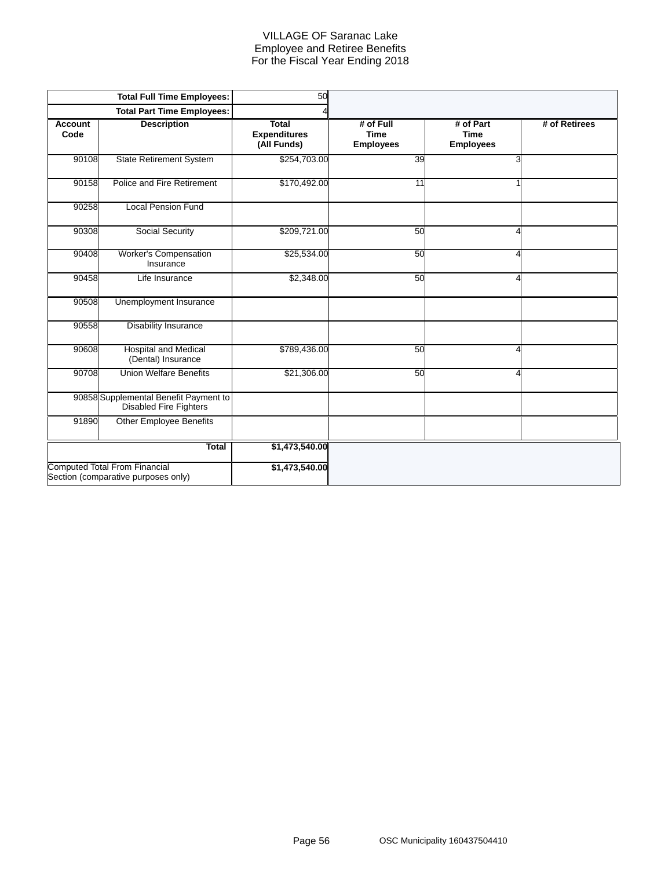### VILLAGE OF Saranac Lake Employee and Retiree Benefits For the Fiscal Year Ending 2018

|                        | <b>Total Full Time Employees:</b>                                           | 50                                                 |                                              |                                              |               |
|------------------------|-----------------------------------------------------------------------------|----------------------------------------------------|----------------------------------------------|----------------------------------------------|---------------|
|                        | <b>Total Part Time Employees:</b>                                           |                                                    |                                              |                                              |               |
| <b>Account</b><br>Code | <b>Description</b>                                                          | <b>Total</b><br><b>Expenditures</b><br>(All Funds) | # of Full<br><b>Time</b><br><b>Employees</b> | # of Part<br><b>Time</b><br><b>Employees</b> | # of Retirees |
| 90108                  | <b>State Retirement System</b>                                              | \$254,703.00                                       | 39                                           | 3                                            |               |
| 90158                  | Police and Fire Retirement                                                  | \$170,492.00                                       | 11                                           |                                              |               |
| 90258                  | <b>Local Pension Fund</b>                                                   |                                                    |                                              |                                              |               |
| 90308                  | Social Security                                                             | \$209,721.00                                       | 50                                           |                                              |               |
| 90408                  | Worker's Compensation<br>Insurance                                          | \$25,534.00                                        | 50                                           | Δ                                            |               |
| 90458                  | Life Insurance                                                              | \$2,348.00                                         | 50                                           | 4                                            |               |
| 90508                  | Unemployment Insurance                                                      |                                                    |                                              |                                              |               |
| 90558                  | <b>Disability Insurance</b>                                                 |                                                    |                                              |                                              |               |
| 90608                  | <b>Hospital and Medical</b><br>(Dental) Insurance                           | \$789,436.00                                       | 50                                           | Δ                                            |               |
| 90708                  | <b>Union Welfare Benefits</b>                                               | \$21,306.00                                        | 50                                           | Δ                                            |               |
|                        | 90858 Supplemental Benefit Payment to<br>Disabled Fire Fighters             |                                                    |                                              |                                              |               |
| 91890                  | <b>Other Employee Benefits</b>                                              |                                                    |                                              |                                              |               |
|                        | <b>Total</b>                                                                | \$1,473,540.00                                     |                                              |                                              |               |
|                        | <b>Computed Total From Financial</b><br>Section (comparative purposes only) | \$1,473,540.00                                     |                                              |                                              |               |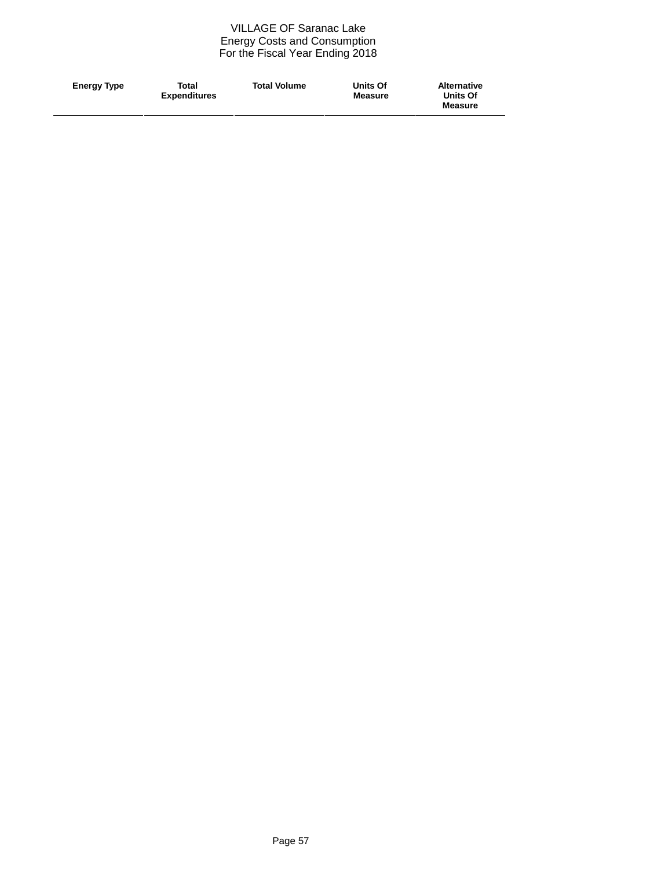### VILLAGE OF Saranac Lake Energy Costs and Consumption For the Fiscal Year Ending 2018

| <b>Total Volume</b><br>Total<br><b>Energy Type</b><br><b>Expenditures</b> | Units Of<br><b>Measure</b> | <b>Alternative</b><br><b>Units Of</b><br><b>Measure</b> |
|---------------------------------------------------------------------------|----------------------------|---------------------------------------------------------|
|---------------------------------------------------------------------------|----------------------------|---------------------------------------------------------|